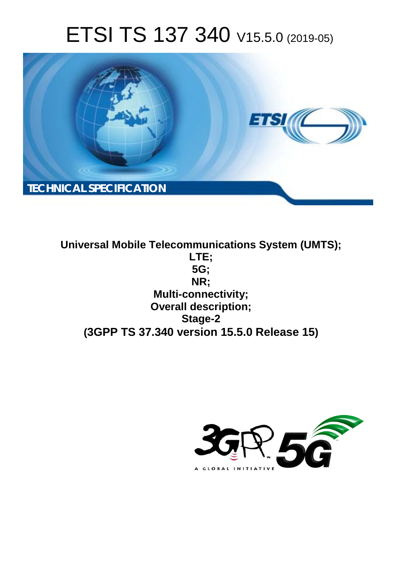# ETSI TS 137 340 V15.5.0 (2019-05)



**Universal Mobile Telecommunications System (UMTS); LTE; 5G; NR; Multi-connectivity; Overall description; Stage-2 (3GPP TS 37.340 version 15.5.0 Release 15)**

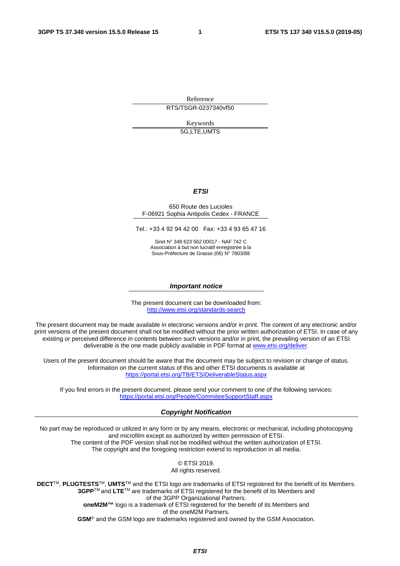Reference

RTS/TSGR-0237340vf50

Keywords 5G,LTE,UMTS

#### *ETSI*

#### 650 Route des Lucioles F-06921 Sophia Antipolis Cedex - FRANCE

Tel.: +33 4 92 94 42 00 Fax: +33 4 93 65 47 16

Siret N° 348 623 562 00017 - NAF 742 C Association à but non lucratif enregistrée à la Sous-Préfecture de Grasse (06) N° 7803/88

#### *Important notice*

The present document can be downloaded from: <http://www.etsi.org/standards-search>

The present document may be made available in electronic versions and/or in print. The content of any electronic and/or print versions of the present document shall not be modified without the prior written authorization of ETSI. In case of any existing or perceived difference in contents between such versions and/or in print, the prevailing version of an ETSI deliverable is the one made publicly available in PDF format at [www.etsi.org/deliver](http://www.etsi.org/deliver).

Users of the present document should be aware that the document may be subject to revision or change of status. Information on the current status of this and other ETSI documents is available at <https://portal.etsi.org/TB/ETSIDeliverableStatus.aspx>

If you find errors in the present document, please send your comment to one of the following services: <https://portal.etsi.org/People/CommiteeSupportStaff.aspx>

#### *Copyright Notification*

No part may be reproduced or utilized in any form or by any means, electronic or mechanical, including photocopying and microfilm except as authorized by written permission of ETSI. The content of the PDF version shall not be modified without the written authorization of ETSI. The copyright and the foregoing restriction extend to reproduction in all media.

> © ETSI 2019. All rights reserved.

**DECT**TM, **PLUGTESTS**TM, **UMTS**TM and the ETSI logo are trademarks of ETSI registered for the benefit of its Members. **3GPP**TM and **LTE**TM are trademarks of ETSI registered for the benefit of its Members and of the 3GPP Organizational Partners. **oneM2M™** logo is a trademark of ETSI registered for the benefit of its Members and of the oneM2M Partners. **GSM**® and the GSM logo are trademarks registered and owned by the GSM Association.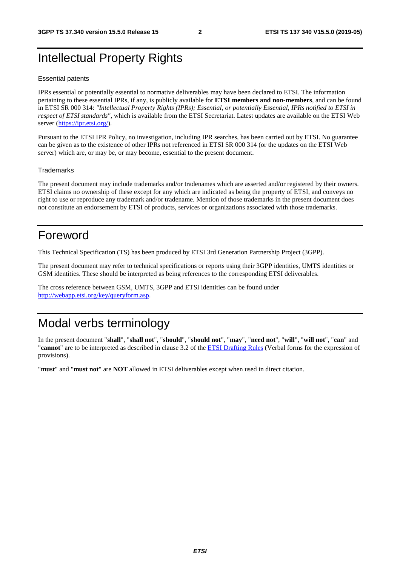# Intellectual Property Rights

#### Essential patents

IPRs essential or potentially essential to normative deliverables may have been declared to ETSI. The information pertaining to these essential IPRs, if any, is publicly available for **ETSI members and non-members**, and can be found in ETSI SR 000 314: *"Intellectual Property Rights (IPRs); Essential, or potentially Essential, IPRs notified to ETSI in respect of ETSI standards"*, which is available from the ETSI Secretariat. Latest updates are available on the ETSI Web server (<https://ipr.etsi.org/>).

Pursuant to the ETSI IPR Policy, no investigation, including IPR searches, has been carried out by ETSI. No guarantee can be given as to the existence of other IPRs not referenced in ETSI SR 000 314 (or the updates on the ETSI Web server) which are, or may be, or may become, essential to the present document.

#### **Trademarks**

The present document may include trademarks and/or tradenames which are asserted and/or registered by their owners. ETSI claims no ownership of these except for any which are indicated as being the property of ETSI, and conveys no right to use or reproduce any trademark and/or tradename. Mention of those trademarks in the present document does not constitute an endorsement by ETSI of products, services or organizations associated with those trademarks.

# Foreword

This Technical Specification (TS) has been produced by ETSI 3rd Generation Partnership Project (3GPP).

The present document may refer to technical specifications or reports using their 3GPP identities, UMTS identities or GSM identities. These should be interpreted as being references to the corresponding ETSI deliverables.

The cross reference between GSM, UMTS, 3GPP and ETSI identities can be found under [http://webapp.etsi.org/key/queryform.asp.](http://webapp.etsi.org/key/queryform.asp)

# Modal verbs terminology

In the present document "**shall**", "**shall not**", "**should**", "**should not**", "**may**", "**need not**", "**will**", "**will not**", "**can**" and "**cannot**" are to be interpreted as described in clause 3.2 of the [ETSI Drafting Rules](https://portal.etsi.org/Services/editHelp!/Howtostart/ETSIDraftingRules.aspx) (Verbal forms for the expression of provisions).

"**must**" and "**must not**" are **NOT** allowed in ETSI deliverables except when used in direct citation.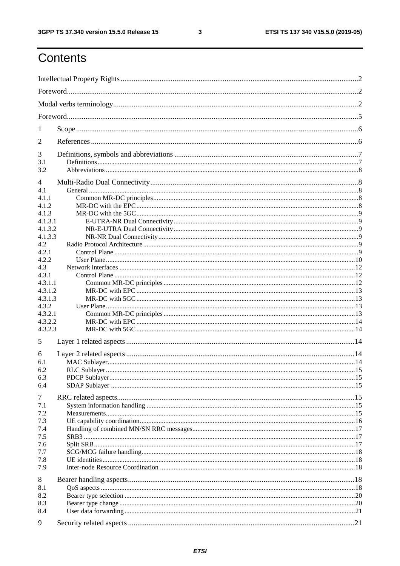$\mathbf{3}$ 

# Contents

| 1                  |  |  |  |  |  |
|--------------------|--|--|--|--|--|
| 2                  |  |  |  |  |  |
| 3                  |  |  |  |  |  |
| 3.1                |  |  |  |  |  |
| 3.2                |  |  |  |  |  |
| 4<br>4.1           |  |  |  |  |  |
| 4.1.1              |  |  |  |  |  |
| 4.1.2              |  |  |  |  |  |
| 4.1.3              |  |  |  |  |  |
| 4.1.3.1            |  |  |  |  |  |
| 4.1.3.2            |  |  |  |  |  |
| 4.1.3.3            |  |  |  |  |  |
| 4.2                |  |  |  |  |  |
| 4.2.1              |  |  |  |  |  |
| 4.2.2              |  |  |  |  |  |
| 4.3                |  |  |  |  |  |
| 4.3.1              |  |  |  |  |  |
| 4.3.1.1<br>4.3.1.2 |  |  |  |  |  |
| 4.3.1.3            |  |  |  |  |  |
| 4.3.2              |  |  |  |  |  |
| 4.3.2.1            |  |  |  |  |  |
| 4.3.2.2            |  |  |  |  |  |
| 4.3.2.3            |  |  |  |  |  |
| 5                  |  |  |  |  |  |
|                    |  |  |  |  |  |
| 6<br>6.1           |  |  |  |  |  |
| 6.2                |  |  |  |  |  |
| 6.3                |  |  |  |  |  |
| 6.4                |  |  |  |  |  |
|                    |  |  |  |  |  |
| 7                  |  |  |  |  |  |
| 7.1                |  |  |  |  |  |
| 7.2                |  |  |  |  |  |
| 7.3                |  |  |  |  |  |
| 7.4                |  |  |  |  |  |
| 7.5                |  |  |  |  |  |
| 7.6<br>7.7         |  |  |  |  |  |
| 7.8                |  |  |  |  |  |
| 7.9                |  |  |  |  |  |
| 8                  |  |  |  |  |  |
| 8.1                |  |  |  |  |  |
| 8.2                |  |  |  |  |  |
| 8.3                |  |  |  |  |  |
| 8.4                |  |  |  |  |  |
| 9                  |  |  |  |  |  |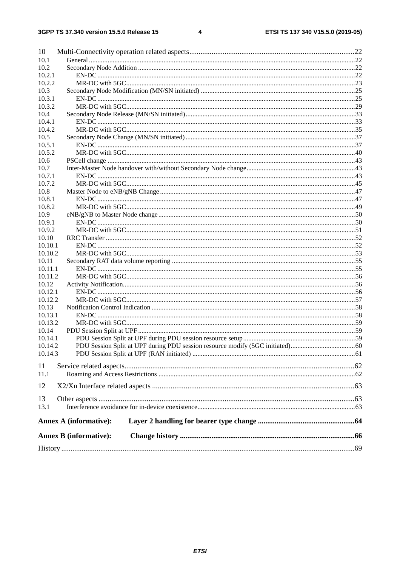#### $\overline{\mathbf{4}}$

| 10      |                               |  |
|---------|-------------------------------|--|
| 10.1    |                               |  |
| 10.2    |                               |  |
| 10.2.1  |                               |  |
| 10.2.2  |                               |  |
| 10.3    |                               |  |
| 10.3.1  |                               |  |
| 10.3.2  |                               |  |
| 10.4    |                               |  |
| 10.4.1  |                               |  |
| 10.4.2  |                               |  |
| 10.5    |                               |  |
| 10.5.1  |                               |  |
| 10.5.2  |                               |  |
| 10.6    |                               |  |
| 10.7    |                               |  |
| 10.7.1  |                               |  |
| 10.7.2  |                               |  |
| 10.8    |                               |  |
| 10.8.1  |                               |  |
| 10.8.2  |                               |  |
| 10.9    |                               |  |
| 10.9.1  |                               |  |
| 10.9.2  |                               |  |
| 10.10   |                               |  |
| 10.10.1 |                               |  |
| 10.10.2 |                               |  |
| 10.11   |                               |  |
| 10.11.1 |                               |  |
| 10.11.2 |                               |  |
| 10.12   |                               |  |
| 10.12.1 |                               |  |
| 10.12.2 |                               |  |
| 10.13   |                               |  |
| 10.13.1 |                               |  |
| 10.13.2 |                               |  |
| 10.14   |                               |  |
| 10.14.1 |                               |  |
| 10.14.2 |                               |  |
| 10.14.3 |                               |  |
|         |                               |  |
| 11      |                               |  |
| 11.1    |                               |  |
| 12      |                               |  |
|         |                               |  |
| 13      |                               |  |
| 13.1    |                               |  |
|         | <b>Annex A (informative):</b> |  |
|         | <b>Annex B</b> (informative): |  |
|         |                               |  |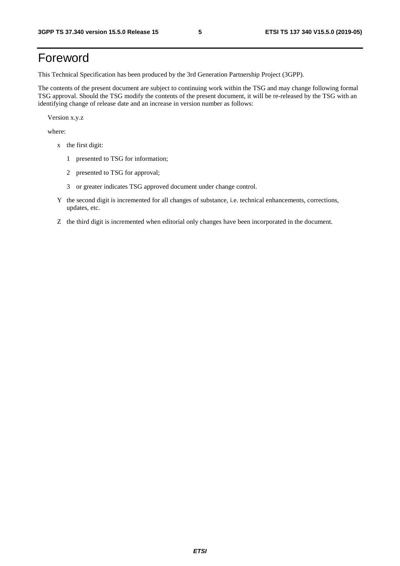# Foreword

This Technical Specification has been produced by the 3rd Generation Partnership Project (3GPP).

The contents of the present document are subject to continuing work within the TSG and may change following formal TSG approval. Should the TSG modify the contents of the present document, it will be re-released by the TSG with an identifying change of release date and an increase in version number as follows:

Version x.y.z

where:

- x the first digit:
	- 1 presented to TSG for information;
	- 2 presented to TSG for approval;
	- 3 or greater indicates TSG approved document under change control.
- Y the second digit is incremented for all changes of substance, i.e. technical enhancements, corrections, updates, etc.
- Z the third digit is incremented when editorial only changes have been incorporated in the document.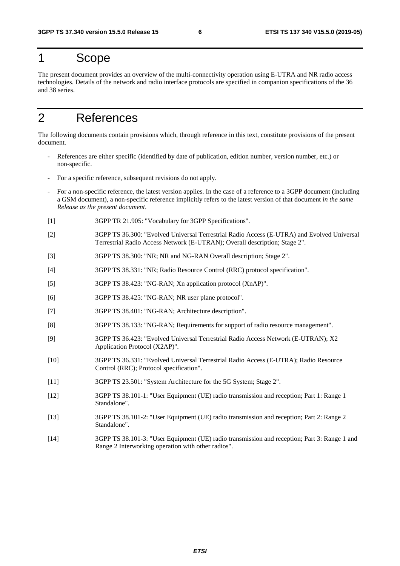# 1 Scope

The present document provides an overview of the multi-connectivity operation using E-UTRA and NR radio access technologies. Details of the network and radio interface protocols are specified in companion specifications of the 36 and 38 series.

# 2 References

The following documents contain provisions which, through reference in this text, constitute provisions of the present document.

- References are either specific (identified by date of publication, edition number, version number, etc.) or non-specific.
- For a specific reference, subsequent revisions do not apply.
- For a non-specific reference, the latest version applies. In the case of a reference to a 3GPP document (including a GSM document), a non-specific reference implicitly refers to the latest version of that document *in the same Release as the present document*.
- [1] 3GPP TR 21.905: "Vocabulary for 3GPP Specifications".
- [2] 3GPP TS 36.300: "Evolved Universal Terrestrial Radio Access (E-UTRA) and Evolved Universal Terrestrial Radio Access Network (E-UTRAN); Overall description; Stage 2".
- [3] 3GPP TS 38.300: "NR; NR and NG-RAN Overall description; Stage 2".
- [4] 3GPP TS 38.331: "NR; Radio Resource Control (RRC) protocol specification".
- [5] 3GPP TS 38.423: "NG-RAN; Xn application protocol (XnAP)".
- [6] 3GPP TS 38.425: "NG-RAN; NR user plane protocol".
- [7] 3GPP TS 38.401: "NG-RAN; Architecture description".
- [8] 3GPP TS 38.133: "NG-RAN; Requirements for support of radio resource management".
- [9] 3GPP TS 36.423: "Evolved Universal Terrestrial Radio Access Network (E-UTRAN); X2 Application Protocol (X2AP)".
- [10] 3GPP TS 36.331: "Evolved Universal Terrestrial Radio Access (E-UTRA); Radio Resource Control (RRC); Protocol specification".
- [11] 3GPP TS 23.501: "System Architecture for the 5G System; Stage 2".
- [12] 3GPP TS 38.101-1: "User Equipment (UE) radio transmission and reception; Part 1: Range 1 Standalone".
- [13] 3GPP TS 38.101-2: "User Equipment (UE) radio transmission and reception; Part 2: Range 2 Standalone".
- [14] 3GPP TS 38.101-3: "User Equipment (UE) radio transmission and reception; Part 3: Range 1 and Range 2 Interworking operation with other radios".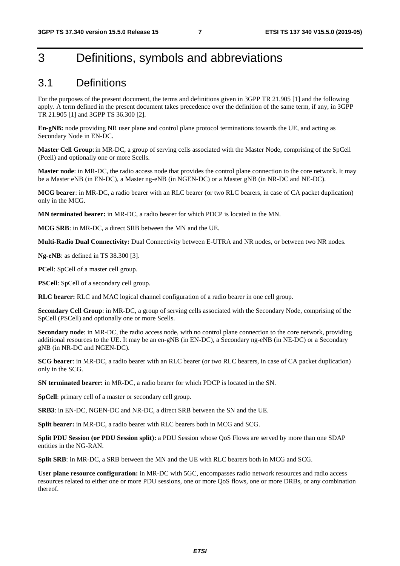# 3 Definitions, symbols and abbreviations

### 3.1 Definitions

For the purposes of the present document, the terms and definitions given in 3GPP TR 21.905 [1] and the following apply. A term defined in the present document takes precedence over the definition of the same term, if any, in 3GPP TR 21.905 [1] and 3GPP TS 36.300 [2].

**En-gNB:** node providing NR user plane and control plane protocol terminations towards the UE, and acting as Secondary Node in EN-DC.

**Master Cell Group**: in MR-DC, a group of serving cells associated with the Master Node, comprising of the SpCell (Pcell) and optionally one or more Scells.

**Master node**: in MR-DC, the radio access node that provides the control plane connection to the core network. It may be a Master eNB (in EN-DC), a Master ng-eNB (in NGEN-DC) or a Master gNB (in NR-DC and NE-DC).

**MCG bearer**: in MR-DC, a radio bearer with an RLC bearer (or two RLC bearers, in case of CA packet duplication) only in the MCG.

**MN terminated bearer:** in MR-DC, a radio bearer for which PDCP is located in the MN.

**MCG SRB**: in MR-DC, a direct SRB between the MN and the UE.

**Multi-Radio Dual Connectivity:** Dual Connectivity between E-UTRA and NR nodes, or between two NR nodes.

**Ng-eNB**: as defined in TS 38.300 [3].

**PCell**: SpCell of a master cell group.

**PSCell**: SpCell of a secondary cell group.

**RLC bearer:** RLC and MAC logical channel configuration of a radio bearer in one cell group.

**Secondary Cell Group**: in MR-DC, a group of serving cells associated with the Secondary Node, comprising of the SpCell (PSCell) and optionally one or more Scells.

**Secondary node**: in MR-DC, the radio access node, with no control plane connection to the core network, providing additional resources to the UE. It may be an en-gNB (in EN-DC), a Secondary ng-eNB (in NE-DC) or a Secondary gNB (in NR-DC and NGEN-DC).

**SCG bearer**: in MR-DC, a radio bearer with an RLC bearer (or two RLC bearers, in case of CA packet duplication) only in the SCG.

**SN terminated bearer:** in MR-DC, a radio bearer for which PDCP is located in the SN.

**SpCell**: primary cell of a master or secondary cell group.

**SRB3**: in EN-DC, NGEN-DC and NR-DC, a direct SRB between the SN and the UE.

**Split bearer:** in MR-DC, a radio bearer with RLC bearers both in MCG and SCG.

**Split PDU Session (or PDU Session split):** a PDU Session whose QoS Flows are served by more than one SDAP entities in the NG-RAN.

**Split SRB**: in MR-DC, a SRB between the MN and the UE with RLC bearers both in MCG and SCG.

**User plane resource configuration:** in MR-DC with 5GC, encompasses radio network resources and radio access resources related to either one or more PDU sessions, one or more QoS flows, one or more DRBs, or any combination thereof.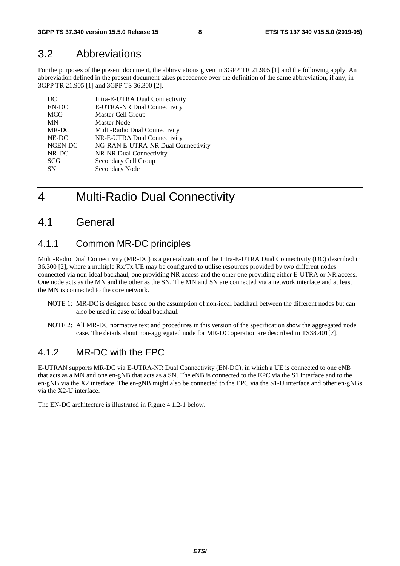### 3.2 Abbreviations

For the purposes of the present document, the abbreviations given in 3GPP TR 21.905 [1] and the following apply. An abbreviation defined in the present document takes precedence over the definition of the same abbreviation, if any, in 3GPP TR 21.905 [1] and 3GPP TS 36.300 [2].

| DC         | Intra-E-UTRA Dual Connectivity     |
|------------|------------------------------------|
| EN-DC      | E-UTRA-NR Dual Connectivity        |
| <b>MCG</b> | Master Cell Group                  |
| MN         | <b>Master Node</b>                 |
| MR-DC      | Multi-Radio Dual Connectivity      |
| NE-DC      | NR-E-UTRA Dual Connectivity        |
| NGEN-DC    | NG-RAN E-UTRA-NR Dual Connectivity |
| NR-DC      | NR-NR Dual Connectivity            |
| <b>SCG</b> | Secondary Cell Group               |
| <b>SN</b>  | Secondary Node                     |

# 4 Multi-Radio Dual Connectivity

### 4.1 General

### 4.1.1 Common MR-DC principles

Multi-Radio Dual Connectivity (MR-DC) is a generalization of the Intra-E-UTRA Dual Connectivity (DC) described in 36.300 [2], where a multiple Rx/Tx UE may be configured to utilise resources provided by two different nodes connected via non-ideal backhaul, one providing NR access and the other one providing either E-UTRA or NR access. One node acts as the MN and the other as the SN. The MN and SN are connected via a network interface and at least the MN is connected to the core network.

- NOTE 1: MR-DC is designed based on the assumption of non-ideal backhaul between the different nodes but can also be used in case of ideal backhaul.
- NOTE 2: All MR-DC normative text and procedures in this version of the specification show the aggregated node case. The details about non-aggregated node for MR-DC operation are described in TS38.401[7].

### 4.1.2 MR-DC with the FPC

E-UTRAN supports MR-DC via E-UTRA-NR Dual Connectivity (EN-DC), in which a UE is connected to one eNB that acts as a MN and one en-gNB that acts as a SN. The eNB is connected to the EPC via the S1 interface and to the en-gNB via the X2 interface. The en-gNB might also be connected to the EPC via the S1-U interface and other en-gNBs via the X2-U interface.

The EN-DC architecture is illustrated in Figure 4.1.2-1 below.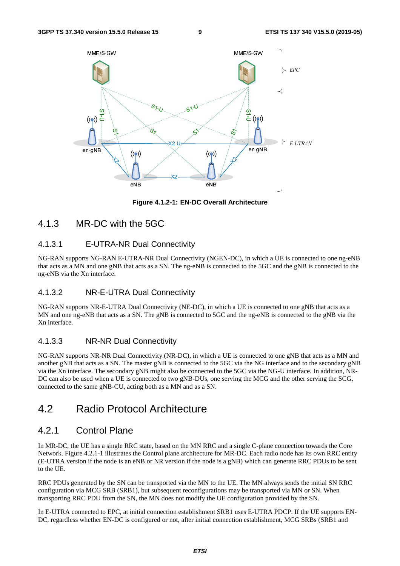

**Figure 4.1.2-1: EN-DC Overall Architecture** 

### 4.1.3 MR-DC with the 5GC

#### 4.1.3.1 E-UTRA-NR Dual Connectivity

NG-RAN supports NG-RAN E-UTRA-NR Dual Connectivity (NGEN-DC), in which a UE is connected to one ng-eNB that acts as a MN and one gNB that acts as a SN. The ng-eNB is connected to the 5GC and the gNB is connected to the ng-eNB via the Xn interface.

#### 4.1.3.2 NR-E-UTRA Dual Connectivity

NG-RAN supports NR-E-UTRA Dual Connectivity (NE-DC), in which a UE is connected to one gNB that acts as a MN and one ng-eNB that acts as a SN. The gNB is connected to 5GC and the ng-eNB is connected to the gNB via the Xn interface.

#### 4.1.3.3 NR-NR Dual Connectivity

NG-RAN supports NR-NR Dual Connectivity (NR-DC), in which a UE is connected to one gNB that acts as a MN and another gNB that acts as a SN. The master gNB is connected to the 5GC via the NG interface and to the secondary gNB via the Xn interface. The secondary gNB might also be connected to the 5GC via the NG-U interface. In addition, NR-DC can also be used when a UE is connected to two gNB-DUs, one serving the MCG and the other serving the SCG, connected to the same gNB-CU, acting both as a MN and as a SN.

### 4.2 Radio Protocol Architecture

### 4.2.1 Control Plane

In MR-DC, the UE has a single RRC state, based on the MN RRC and a single C-plane connection towards the Core Network. Figure 4.2.1-1 illustrates the Control plane architecture for MR-DC. Each radio node has its own RRC entity (E-UTRA version if the node is an eNB or NR version if the node is a gNB) which can generate RRC PDUs to be sent to the UE.

RRC PDUs generated by the SN can be transported via the MN to the UE. The MN always sends the initial SN RRC configuration via MCG SRB (SRB1), but subsequent reconfigurations may be transported via MN or SN. When transporting RRC PDU from the SN, the MN does not modify the UE configuration provided by the SN.

In E-UTRA connected to EPC, at initial connection establishment SRB1 uses E-UTRA PDCP. If the UE supports EN-DC, regardless whether EN-DC is configured or not, after initial connection establishment, MCG SRBs (SRB1 and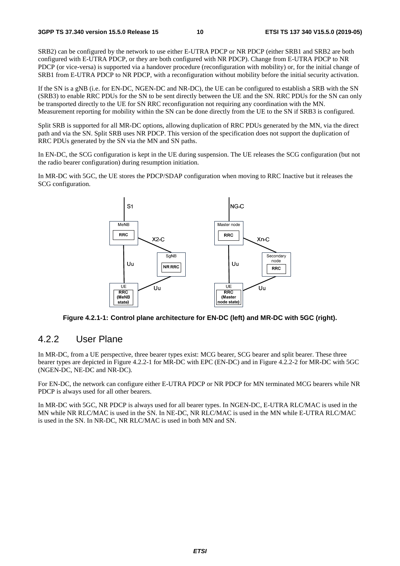SRB2) can be configured by the network to use either E-UTRA PDCP or NR PDCP (either SRB1 and SRB2 are both configured with E-UTRA PDCP, or they are both configured with NR PDCP). Change from E-UTRA PDCP to NR PDCP (or vice-versa) is supported via a handover procedure (reconfiguration with mobility) or, for the initial change of SRB1 from E-UTRA PDCP to NR PDCP, with a reconfiguration without mobility before the initial security activation.

If the SN is a gNB (i.e. for EN-DC, NGEN-DC and NR-DC), the UE can be configured to establish a SRB with the SN (SRB3) to enable RRC PDUs for the SN to be sent directly between the UE and the SN. RRC PDUs for the SN can only be transported directly to the UE for SN RRC reconfiguration not requiring any coordination with the MN. Measurement reporting for mobility within the SN can be done directly from the UE to the SN if SRB3 is configured.

Split SRB is supported for all MR-DC options, allowing duplication of RRC PDUs generated by the MN, via the direct path and via the SN. Split SRB uses NR PDCP. This version of the specification does not support the duplication of RRC PDUs generated by the SN via the MN and SN paths.

In EN-DC, the SCG configuration is kept in the UE during suspension. The UE releases the SCG configuration (but not the radio bearer configuration) during resumption initiation.

In MR-DC with 5GC, the UE stores the PDCP/SDAP configuration when moving to RRC Inactive but it releases the SCG configuration.



**Figure 4.2.1-1: Control plane architecture for EN-DC (left) and MR-DC with 5GC (right).** 

### 4.2.2 User Plane

In MR-DC, from a UE perspective, three bearer types exist: MCG bearer, SCG bearer and split bearer. These three bearer types are depicted in Figure 4.2.2-1 for MR-DC with EPC (EN-DC) and in Figure 4.2.2-2 for MR-DC with 5GC (NGEN-DC, NE-DC and NR-DC).

For EN-DC, the network can configure either E-UTRA PDCP or NR PDCP for MN terminated MCG bearers while NR PDCP is always used for all other bearers.

In MR-DC with 5GC, NR PDCP is always used for all bearer types. In NGEN-DC, E-UTRA RLC/MAC is used in the MN while NR RLC/MAC is used in the SN. In NE-DC, NR RLC/MAC is used in the MN while E-UTRA RLC/MAC is used in the SN. In NR-DC, NR RLC/MAC is used in both MN and SN.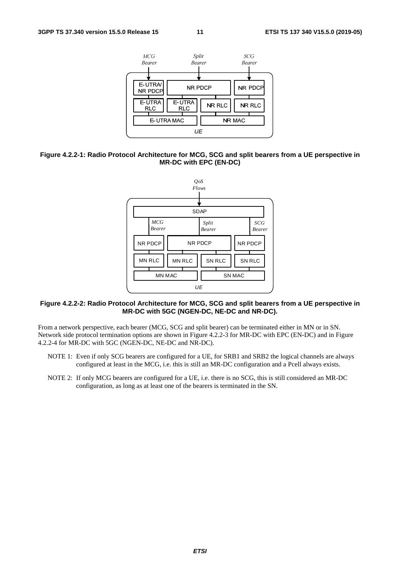

#### **Figure 4.2.2-1: Radio Protocol Architecture for MCG, SCG and split bearers from a UE perspective in MR-DC with EPC (EN-DC)**



#### **Figure 4.2.2-2: Radio Protocol Architecture for MCG, SCG and split bearers from a UE perspective in MR-DC with 5GC (NGEN-DC, NE-DC and NR-DC).**

From a network perspective, each bearer (MCG, SCG and split bearer) can be terminated either in MN or in SN. Network side protocol termination options are shown in Figure 4.2.2-3 for MR-DC with EPC (EN-DC) and in Figure 4.2.2-4 for MR-DC with 5GC (NGEN-DC, NE-DC and NR-DC).

- NOTE 1: Even if only SCG bearers are configured for a UE, for SRB1 and SRB2 the logical channels are always configured at least in the MCG, i.e. this is still an MR-DC configuration and a Pcell always exists.
- NOTE 2: If only MCG bearers are configured for a UE, i.e. there is no SCG, this is still considered an MR-DC configuration, as long as at least one of the bearers is terminated in the SN.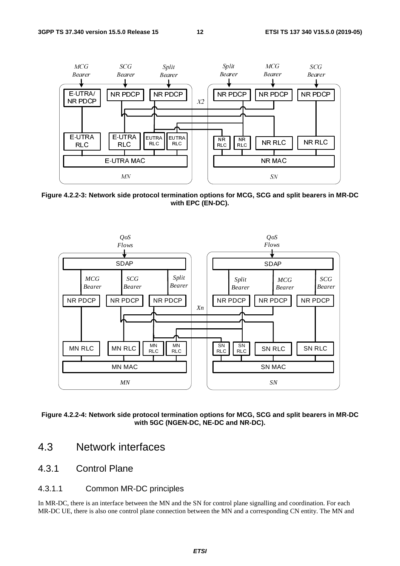

**Figure 4.2.2-3: Network side protocol termination options for MCG, SCG and split bearers in MR-DC with EPC (EN-DC).** 



**Figure 4.2.2-4: Network side protocol termination options for MCG, SCG and split bearers in MR-DC with 5GC (NGEN-DC, NE-DC and NR-DC).** 

- 4.3 Network interfaces
- 4.3.1 Control Plane
- 4.3.1.1 Common MR-DC principles

In MR-DC, there is an interface between the MN and the SN for control plane signalling and coordination. For each MR-DC UE, there is also one control plane connection between the MN and a corresponding CN entity. The MN and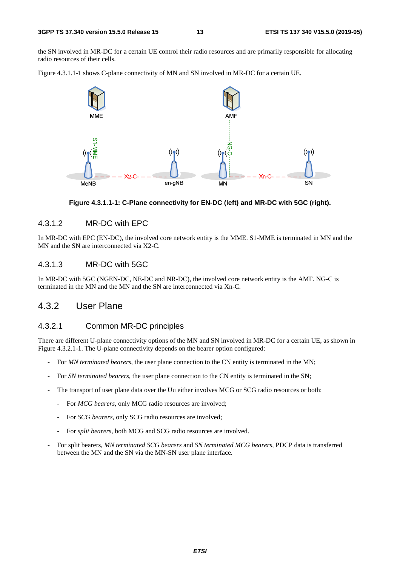the SN involved in MR-DC for a certain UE control their radio resources and are primarily responsible for allocating radio resources of their cells.

Figure 4.3.1.1-1 shows C-plane connectivity of MN and SN involved in MR-DC for a certain UE.



#### **Figure 4.3.1.1-1: C-Plane connectivity for EN-DC (left) and MR-DC with 5GC (right).**

#### 4.3.1.2 MR-DC with EPC

In MR-DC with EPC (EN-DC), the involved core network entity is the MME. S1-MME is terminated in MN and the MN and the SN are interconnected via X2-C.

### 4.3.1.3 MR-DC with 5GC

In MR-DC with 5GC (NGEN-DC, NE-DC and NR-DC), the involved core network entity is the AMF. NG-C is terminated in the MN and the MN and the SN are interconnected via Xn-C.

### 4.3.2 User Plane

#### 4.3.2.1 Common MR-DC principles

There are different U-plane connectivity options of the MN and SN involved in MR-DC for a certain UE, as shown in Figure 4.3.2.1-1. The U-plane connectivity depends on the bearer option configured:

- For *MN terminated bearers*, the user plane connection to the CN entity is terminated in the MN;
- For *SN terminated bearers*, the user plane connection to the CN entity is terminated in the SN;
- The transport of user plane data over the Uu either involves MCG or SCG radio resources or both:
	- For *MCG bearers*, only MCG radio resources are involved;
	- For *SCG bearers*, only SCG radio resources are involved;
	- For *split bearers*, both MCG and SCG radio resources are involved.
- For split bearers, *MN terminated SCG bearers* and *SN terminated MCG bearers*, PDCP data is transferred between the MN and the SN via the MN-SN user plane interface.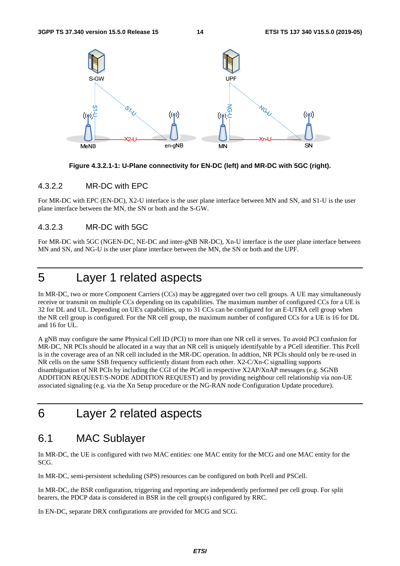

**Figure 4.3.2.1-1: U-Plane connectivity for EN-DC (left) and MR-DC with 5GC (right).** 

#### 4.3.2.2 MR-DC with EPC

For MR-DC with EPC (EN-DC), X2-U interface is the user plane interface between MN and SN, and S1-U is the user plane interface between the MN, the SN or both and the S-GW.

#### 4.3.2.3 MR-DC with 5GC

For MR-DC with 5GC (NGEN-DC, NE-DC and inter-gNB NR-DC), Xn-U interface is the user plane interface between MN and SN, and NG-U is the user plane interface between the MN, the SN or both and the UPF.

# 5 Layer 1 related aspects

In MR-DC, two or more Component Carriers (CCs) may be aggregated over two cell groups. A UE may simultaneously receive or transmit on multiple CCs depending on its capabilities. The maximum number of configured CCs for a UE is 32 for DL and UL. Depending on UE's capabilities, up to 31 CCs can be configured for an E-UTRA cell group when the NR cell group is configured. For the NR cell group, the maximum number of configured CCs for a UE is 16 for DL and 16 for UL.

A gNB may configure the same Physical Cell ID (PCI) to more than one NR cell it serves. To avoid PCI confusion for MR-DC, NR PCIs should be allocated in a way that an NR cell is uniquely identifyable by a PCell identifier. This Pcell is in the coverage area of an NR cell included in the MR-DC operation. In addtion, NR PCIs should only be re-used in NR cells on the same SSB frequency sufficiently distant from each other. X2-C/Xn-C signalling supports disambiguation of NR PCIs by including the CGI of the PCell in respective X2AP/XnAP messages (e.g. SGNB ADDITION REQUEST/S-NODE ADDITION REQUEST) and by providing neighbour cell relationship via non-UE associated signaling (e.g. via the Xn Setup procedure or the NG-RAN node Configuration Update procedure).

### 6 Layer 2 related aspects

### 6.1 MAC Sublayer

In MR-DC, the UE is configured with two MAC entities: one MAC entity for the MCG and one MAC entity for the SCG.

In MR-DC, semi-persistent scheduling (SPS) resources can be configured on both Pcell and PSCell.

In MR-DC, the BSR configuration, triggering and reporting are independently performed per cell group. For split bearers, the PDCP data is considered in BSR in the cell group(s) configured by RRC.

In EN-DC, separate DRX configurations are provided for MCG and SCG.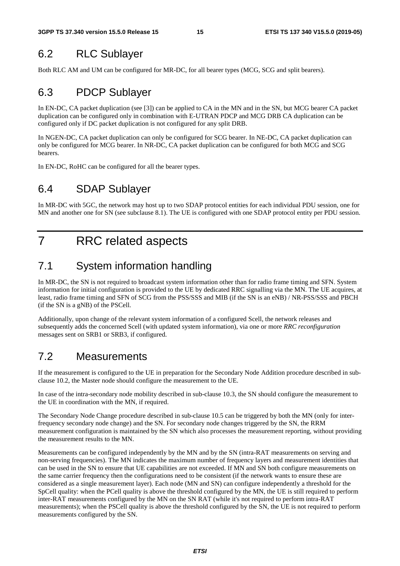# 6.2 RLC Sublayer

Both RLC AM and UM can be configured for MR-DC, for all bearer types (MCG, SCG and split bearers).

### 6.3 PDCP Sublayer

In EN-DC, CA packet duplication (see [3]) can be applied to CA in the MN and in the SN, but MCG bearer CA packet duplication can be configured only in combination with E-UTRAN PDCP and MCG DRB CA duplication can be configured only if DC packet duplication is not configured for any split DRB.

In NGEN-DC, CA packet duplication can only be configured for SCG bearer. In NE-DC, CA packet duplication can only be configured for MCG bearer. In NR-DC, CA packet duplication can be configured for both MCG and SCG bearers.

In EN-DC, RoHC can be configured for all the bearer types.

### 6.4 SDAP Sublayer

In MR-DC with 5GC, the network may host up to two SDAP protocol entities for each individual PDU session, one for MN and another one for SN (see subclause 8.1). The UE is configured with one SDAP protocol entity per PDU session.

# 7 RRC related aspects

# 7.1 System information handling

In MR-DC, the SN is not required to broadcast system information other than for radio frame timing and SFN. System information for initial configuration is provided to the UE by dedicated RRC signalling via the MN. The UE acquires, at least, radio frame timing and SFN of SCG from the PSS/SSS and MIB (if the SN is an eNB) / NR-PSS/SSS and PBCH (if the SN is a gNB) of the PSCell.

Additionally, upon change of the relevant system information of a configured Scell, the network releases and subsequently adds the concerned Scell (with updated system information), via one or more *RRC reconfiguration* messages sent on SRB1 or SRB3, if configured.

# 7.2 Measurements

If the measurement is configured to the UE in preparation for the Secondary Node Addition procedure described in subclause 10.2, the Master node should configure the measurement to the UE.

In case of the intra-secondary node mobility described in sub-clause 10.3, the SN should configure the measurement to the UE in coordination with the MN, if required.

The Secondary Node Change procedure described in sub-clause 10.5 can be triggered by both the MN (only for interfrequency secondary node change) and the SN. For secondary node changes triggered by the SN, the RRM measurement configuration is maintained by the SN which also processes the measurement reporting, without providing the measurement results to the MN.

Measurements can be configured independently by the MN and by the SN (intra-RAT measurements on serving and non-serving frequencies). The MN indicates the maximum number of frequency layers and measurement identities that can be used in the SN to ensure that UE capabilities are not exceeded. If MN and SN both configure measurements on the same carrier frequency then the configurations need to be consistent (if the network wants to ensure these are considered as a single measurement layer). Each node (MN and SN) can configure independently a threshold for the SpCell quality: when the PCell quality is above the threshold configured by the MN, the UE is still required to perform inter-RAT measurements configured by the MN on the SN RAT (while it's not required to perform intra-RAT measurements); when the PSCell quality is above the threshold configured by the SN, the UE is not required to perform measurements configured by the SN.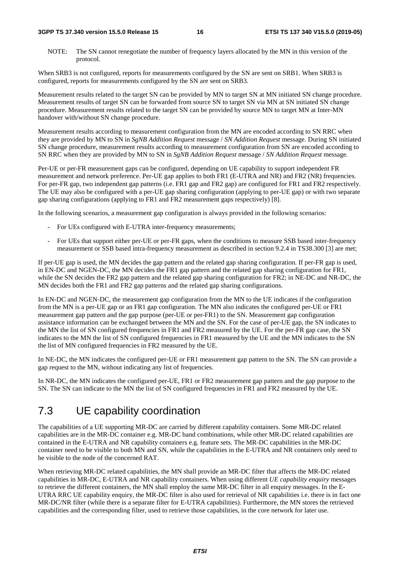NOTE: The SN cannot renegotiate the number of frequency layers allocated by the MN in this version of the protocol.

When SRB3 is not configured, reports for measurements configured by the SN are sent on SRB1. When SRB3 is configured, reports for measurements configured by the SN are sent on SRB3.

Measurement results related to the target SN can be provided by MN to target SN at MN initiated SN change procedure. Measurement results of target SN can be forwarded from source SN to target SN via MN at SN initiated SN change procedure. Measurement results related to the target SN can be provided by source MN to target MN at Inter-MN handover with/without SN change procedure.

Measurement results according to measurement configuration from the MN are encoded according to SN RRC when they are provided by MN to SN in *SgNB Addition Request* message / *SN Addition Request* message. During SN initiated SN change procedure, measurement results according to measurement configuration from SN are encoded according to SN RRC when they are provided by MN to SN in *SgNB Addition Request* message / *SN Addition Request* message.

Per-UE or per-FR measurement gaps can be configured, depending on UE capability to support independent FR measurement and network preference. Per-UE gap applies to both FR1 (E-UTRA and NR) and FR2 (NR) frequencies. For per-FR gap, two independent gap patterns (i.e. FR1 gap and FR2 gap) are configured for FR1 and FR2 respectively. The UE may also be configured with a per-UE gap sharing configuration (applying to per-UE gap) or with two separate gap sharing configurations (applying to FR1 and FR2 measurement gaps respectively) [8].

In the following scenarios, a measurement gap configuration is always provided in the following scenarios:

- For UEs configured with E-UTRA inter-frequency measurements;
- For UEs that support either per-UE or per-FR gaps, when the conditions to measure SSB based inter-frequency measurement or SSB based intra-frequency measurement as described in section 9.2.4 in TS38.300 [3] are met;

If per-UE gap is used, the MN decides the gap pattern and the related gap sharing configuration. If per-FR gap is used, in EN-DC and NGEN-DC, the MN decides the FR1 gap pattern and the related gap sharing configuration for FR1, while the SN decides the FR2 gap pattern and the related gap sharing configuration for FR2; in NE-DC and NR-DC, the MN decides both the FR1 and FR2 gap patterns and the related gap sharing configurations.

In EN-DC and NGEN-DC, the measurement gap configuration from the MN to the UE indicates if the configuration from the MN is a per-UE gap or an FR1 gap configuration. The MN also indicates the configured per-UE or FR1 measurement gap pattern and the gap purpose (per-UE or per-FR1) to the SN. Measurement gap configuration assistance information can be exchanged between the MN and the SN. For the case of per-UE gap, the SN indicates to the MN the list of SN configured frequencies in FR1 and FR2 measured by the UE. For the per-FR gap case, the SN indicates to the MN the list of SN configured frequencies in FR1 measured by the UE and the MN indicates to the SN the list of MN configured frequencies in FR2 measured by the UE.

In NE-DC, the MN indicates the configured per-UE or FR1 measurement gap pattern to the SN. The SN can provide a gap request to the MN, without indicating any list of frequencies.

In NR-DC, the MN indicates the configured per-UE, FR1 or FR2 measurement gap pattern and the gap purpose to the SN. The SN can indicate to the MN the list of SN configured frequencies in FR1 and FR2 measured by the UE.

### 7.3 UE capability coordination

The capabilities of a UE supporting MR-DC are carried by different capability containers. Some MR-DC related capabilities are in the MR-DC container e.g. MR-DC band combinations, while other MR-DC related capabilities are contained in the E-UTRA and NR capability containers e.g. feature sets. The MR-DC capabilities in the MR-DC container need to be visible to both MN and SN, while the capabilities in the E-UTRA and NR containers only need to be visible to the node of the concerned RAT.

When retrieving MR-DC related capabilities, the MN shall provide an MR-DC filter that affects the MR-DC related capabilities in MR-DC, E-UTRA and NR capability containers. When using different *UE capability enquiry* messages to retrieve the different containers, the MN shall employ the same MR-DC filter in all enquiry messages. In the E-UTRA RRC UE capability enquiry, the MR-DC filter is also used for retrieval of NR capabilities i.e. there is in fact one MR-DC/NR filter (while there is a separate filter for E-UTRA capabilities). Furthermore, the MN stores the retrieved capabilities and the corresponding filter, used to retrieve those capabilities, in the core network for later use.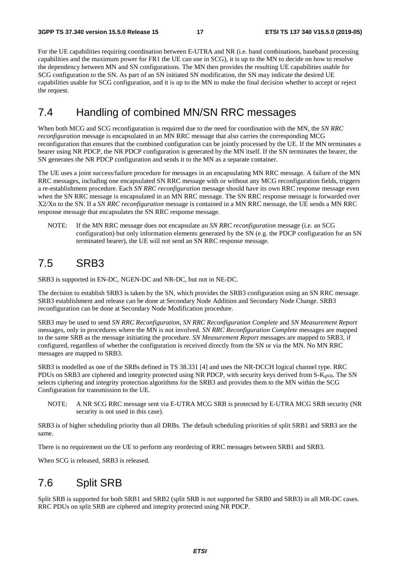For the UE capabilities requiring coordination between E-UTRA and NR (i.e. band combinations, baseband processing capabilities and the maximum power for FR1 the UE can use in SCG), it is up to the MN to decide on how to resolve the dependency between MN and SN configurations. The MN then provides the resulting UE capabilities usable for SCG configuration to the SN. As part of an SN initiated SN modification, the SN may indicate the desired UE capabilities usable for SCG configuration, and it is up to the MN to make the final decision whether to accept or reject the request.

### 7.4 Handling of combined MN/SN RRC messages

When both MCG and SCG reconfiguration is required due to the need for coordination with the MN, the *SN RRC reconfiguration* message is encapsulated in an MN RRC message that also carries the corresponding MCG reconfiguration that ensures that the combined configuration can be jointly processed by the UE. If the MN terminates a bearer using NR PDCP, the NR PDCP configuration is generated by the MN itself. If the SN terminates the bearer, the SN generates the NR PDCP configuration and sends it to the MN as a separate container.

The UE uses a joint success/failure procedure for messages in an encapsulating MN RRC message. A failure of the MN RRC messages, including one encapsulated SN RRC message with or without any MCG reconfiguration fields, triggers a re-establishment procedure. Each *SN RRC reconfiguration* message should have its own RRC response message even when the SN RRC message is encapsulated in an MN RRC message. The SN RRC response message is forwarded over X2/Xn to the SN. If a *SN RRC reconfiguration* message is contained in a MN RRC message, the UE sends a MN RRC response message that encapsulates the SN RRC response message.

NOTE: If the MN RRC message does not encapsulate an *SN RRC reconfiguration* message (i.e. an SCG configuration) but only information elements generated by the SN (e.g. the PDCP configuration for an SN terminated bearer), the UE will not send an SN RRC response message.

### 7.5 SRB3

SRB3 is supported in EN-DC, NGEN-DC and NR-DC, but not in NE-DC.

The decision to establish SRB3 is taken by the SN, which provides the SRB3 configuration using an SN RRC message. SRB3 establishment and release can be done at Secondary Node Addition and Secondary Node Change. SRB3 reconfiguration can be done at Secondary Node Modification procedure.

SRB3 may be used to send *SN RRC Reconfiguration*, *SN RRC Reconfiguration Complete* and *SN Measurement Report* messages, only in procedures where the MN is not involved. *SN RRC Reconfiguration Complete* messages are mapped to the same SRB as the message initiating the procedure. *SN Measurement Report* messages are mapped to SRB3, if configured, regardless of whether the configuration is received directly from the SN or via the MN. No MN RRC messages are mapped to SRB3.

SRB3 is modelled as one of the SRBs defined in TS 38.331 [4] and uses the NR-DCCH logical channel type. RRC PDUs on SRB3 are ciphered and integrity protected using NR PDCP, with security keys derived from  $S-K<sub>gNB</sub>$ . The SN selects ciphering and integrity protection algorithms for the SRB3 and provides them to the MN within the SCG Configuration for transmission to the UE.

NOTE: A NR SCG RRC message sent via E-UTRA MCG SRB is protected by E-UTRA MCG SRB security (NR security is not used in this case).

SRB3 is of higher scheduling priority than all DRBs. The default scheduling priorities of split SRB1 and SRB3 are the same.

There is no requirement on the UE to perform any reordering of RRC messages between SRB1 and SRB3.

When SCG is released, SRB3 is released.

### 7.6 Split SRB

Split SRB is supported for both SRB1 and SRB2 (split SRB is not supported for SRB0 and SRB3) in all MR-DC cases. RRC PDUs on split SRB are ciphered and integrity protected using NR PDCP.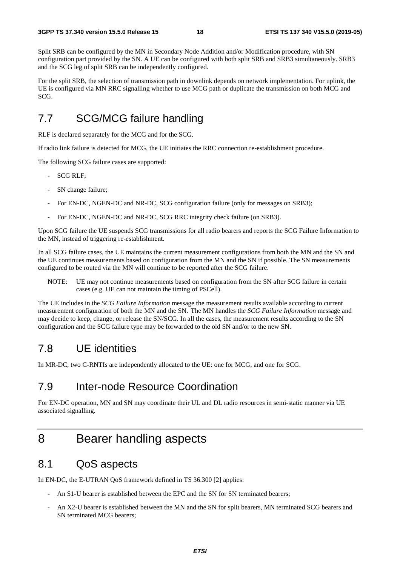Split SRB can be configured by the MN in Secondary Node Addition and/or Modification procedure, with SN configuration part provided by the SN. A UE can be configured with both split SRB and SRB3 simultaneously. SRB3 and the SCG leg of split SRB can be independently configured.

For the split SRB, the selection of transmission path in downlink depends on network implementation. For uplink, the UE is configured via MN RRC signalling whether to use MCG path or duplicate the transmission on both MCG and SCG.

### 7.7 SCG/MCG failure handling

RLF is declared separately for the MCG and for the SCG.

If radio link failure is detected for MCG, the UE initiates the RRC connection re-establishment procedure.

The following SCG failure cases are supported:

- SCG RLF;
- SN change failure;
- For EN-DC, NGEN-DC and NR-DC, SCG configuration failure (only for messages on SRB3);
- For EN-DC, NGEN-DC and NR-DC, SCG RRC integrity check failure (on SRB3).

Upon SCG failure the UE suspends SCG transmissions for all radio bearers and reports the SCG Failure Information to the MN, instead of triggering re-establishment.

In all SCG failure cases, the UE maintains the current measurement configurations from both the MN and the SN and the UE continues measurements based on configuration from the MN and the SN if possible. The SN measurements configured to be routed via the MN will continue to be reported after the SCG failure.

NOTE: UE may not continue measurements based on configuration from the SN after SCG failure in certain cases (e.g. UE can not maintain the timing of PSCell).

The UE includes in the *SCG Failure Information* message the measurement results available according to current measurement configuration of both the MN and the SN. The MN handles the *SCG Failure Information* message and may decide to keep, change, or release the SN/SCG. In all the cases, the measurement results according to the SN configuration and the SCG failure type may be forwarded to the old SN and/or to the new SN.

### 7.8 UE identities

In MR-DC, two C-RNTIs are independently allocated to the UE: one for MCG, and one for SCG.

### 7.9 Inter-node Resource Coordination

For EN-DC operation, MN and SN may coordinate their UL and DL radio resources in semi-static manner via UE associated signalling.

# 8 Bearer handling aspects

### 8.1 QoS aspects

In EN-DC, the E-UTRAN QoS framework defined in TS 36.300 [2] applies:

- An S1-U bearer is established between the EPC and the SN for SN terminated bearers;
- An X2-U bearer is established between the MN and the SN for split bearers, MN terminated SCG bearers and SN terminated MCG bearers;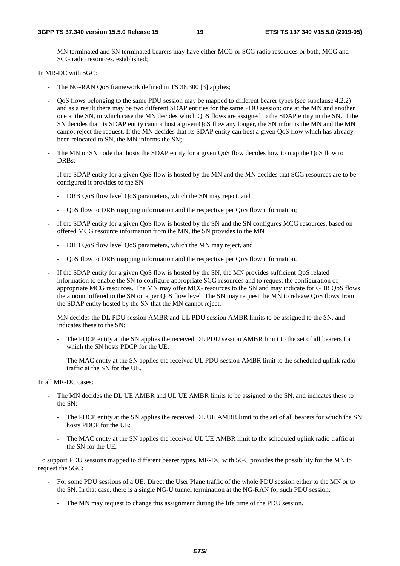MN terminated and SN terminated bearers may have either MCG or SCG radio resources or both, MCG and SCG radio resources, established;

In MR-DC with 5GC:

- The NG-RAN QoS framework defined in TS 38.300 [3] applies;
- QoS flows belonging to the same PDU session may be mapped to different bearer types (see subclause 4.2.2) and as a result there may be two different SDAP entities for the same PDU session: one at the MN and another one at the SN, in which case the MN decides which QoS flows are assigned to the SDAP entity in the SN. If the SN decides that its SDAP entity cannot host a given QoS flow any longer, the SN informs the MN and the MN cannot reject the request. If the MN decides that its SDAP entity can host a given QoS flow which has already been relocated to SN, the MN informs the SN;
- The MN or SN node that hosts the SDAP entity for a given QoS flow decides how to map the QoS flow to DRBs:
- If the SDAP entity for a given QoS flow is hosted by the MN and the MN decides that SCG resources are to be configured it provides to the SN
	- DRB QoS flow level QoS parameters, which the SN may reject, and
	- QoS flow to DRB mapping information and the respective per QoS flow information;
- If the SDAP entity for a given QoS flow is hosted by the SN and the SN configures MCG resources, based on offered MCG resource information from the MN, the SN provides to the MN
	- DRB QoS flow level QoS parameters, which the MN may reject, and
	- QoS flow to DRB mapping information and the respective per QoS flow information.
- If the SDAP entity for a given QoS flow is hosted by the SN, the MN provides sufficient QoS related information to enable the SN to configure appropriate SCG resources and to request the configuration of appropriate MCG resources. The MN may offer MCG resources to the SN and may indicate for GBR QoS flows the amount offered to the SN on a per QoS flow level. The SN may request the MN to release QoS flows from the SDAP entity hosted by the SN that the MN cannot reject.
- MN decides the DL PDU session AMBR and UL PDU session AMBR limits to be assigned to the SN, and indicates these to the SN:
	- The PDCP entity at the SN applies the received DL PDU session AMBR limi t to the set of all bearers for which the SN hosts PDCP for the UE;
	- The MAC entity at the SN applies the received UL PDU session AMBR limit to the scheduled uplink radio traffic at the SN for the UE.

In all MR-DC cases:

- The MN decides the DL UE AMBR and UL UE AMBR limits to be assigned to the SN, and indicates these to the SN:
	- The PDCP entity at the SN applies the received DL UE AMBR limit to the set of all bearers for which the SN hosts PDCP for the UE;
	- The MAC entity at the SN applies the received UL UE AMBR limit to the scheduled uplink radio traffic at the SN for the UE.

To support PDU sessions mapped to different bearer types, MR-DC with 5GC provides the possibility for the MN to request the 5GC:

- For some PDU sessions of a UE: Direct the User Plane traffic of the whole PDU session either to the MN or to the SN. In that case, there is a single NG-U tunnel termination at the NG-RAN for such PDU session.
	- The MN may request to change this assignment during the life time of the PDU session.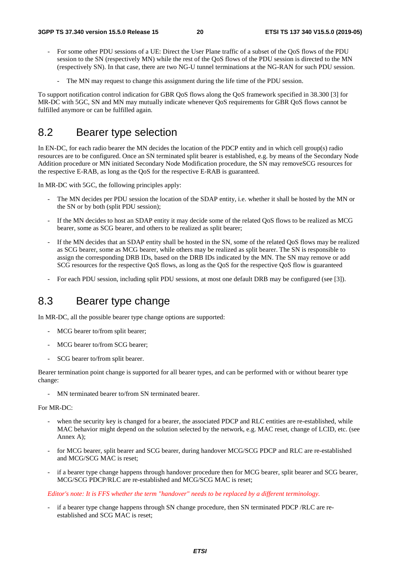- For some other PDU sessions of a UE: Direct the User Plane traffic of a subset of the QoS flows of the PDU session to the SN (respectively MN) while the rest of the QoS flows of the PDU session is directed to the MN (respectively SN). In that case, there are two NG-U tunnel terminations at the NG-RAN for such PDU session.
	- The MN may request to change this assignment during the life time of the PDU session.

To support notification control indication for GBR QoS flows along the QoS framework specified in 38.300 [3] for MR-DC with 5GC, SN and MN may mutually indicate whenever OoS requirements for GBR OoS flows cannot be fulfilled anymore or can be fulfilled again.

### 8.2 Bearer type selection

In EN-DC, for each radio bearer the MN decides the location of the PDCP entity and in which cell group(s) radio resources are to be configured. Once an SN terminated split bearer is established, e.g. by means of the Secondary Node Addition procedure or MN initiated Secondary Node Modification procedure, the SN may removeSCG resources for the respective E-RAB, as long as the QoS for the respective E-RAB is guaranteed.

In MR-DC with 5GC, the following principles apply:

- The MN decides per PDU session the location of the SDAP entity, i.e. whether it shall be hosted by the MN or the SN or by both (split PDU session);
- If the MN decides to host an SDAP entity it may decide some of the related OoS flows to be realized as MCG bearer, some as SCG bearer, and others to be realized as split bearer;
- If the MN decides that an SDAP entity shall be hosted in the SN, some of the related QoS flows may be realized as SCG bearer, some as MCG bearer, while others may be realized as split bearer. The SN is responsible to assign the corresponding DRB IDs, based on the DRB IDs indicated by the MN. The SN may remove or add SCG resources for the respective QoS flows, as long as the QoS for the respective QoS flow is guaranteed
- For each PDU session, including split PDU sessions, at most one default DRB may be configured (see [3]).

### 8.3 Bearer type change

In MR-DC, all the possible bearer type change options are supported:

- MCG bearer to/from split bearer;
- MCG bearer to/from SCG bearer;
- SCG bearer to/from split bearer.

Bearer termination point change is supported for all bearer types, and can be performed with or without bearer type change:

- MN terminated bearer to/from SN terminated bearer.

#### For MR-DC:

- when the security key is changed for a bearer, the associated PDCP and RLC entities are re-established, while MAC behavior might depend on the solution selected by the network, e.g. MAC reset, change of LCID, etc. (see Annex A);
- for MCG bearer, split bearer and SCG bearer, during handover MCG/SCG PDCP and RLC are re-established and MCG/SCG MAC is reset;
- if a bearer type change happens through handover procedure then for MCG bearer, split bearer and SCG bearer, MCG/SCG PDCP/RLC are re-established and MCG/SCG MAC is reset;

*Editor's note: It is FFS whether the term "handover" needs to be replaced by a different terminology.*

if a bearer type change happens through SN change procedure, then SN terminated PDCP /RLC are reestablished and SCG MAC is reset;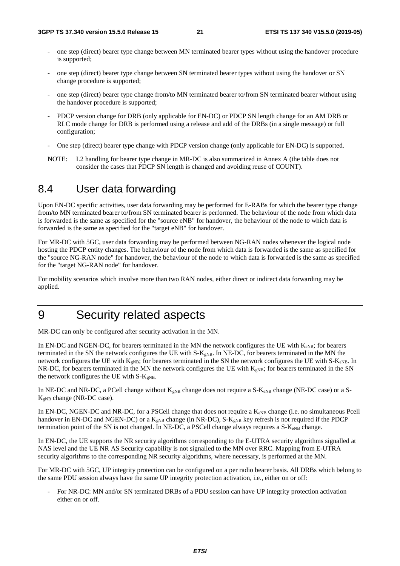- one step (direct) bearer type change between MN terminated bearer types without using the handover procedure is supported;
- one step (direct) bearer type change between SN terminated bearer types without using the handover or SN change procedure is supported;
- one step (direct) bearer type change from/to MN terminated bearer to/from SN terminated bearer without using the handover procedure is supported;
- PDCP version change for DRB (only applicable for EN-DC) or PDCP SN length change for an AM DRB or RLC mode change for DRB is performed using a release and add of the DRBs (in a single message) or full configuration;
- One step (direct) bearer type change with PDCP version change (only applicable for EN-DC) is supported.
- NOTE: L2 handling for bearer type change in MR-DC is also summarized in Annex A (the table does not consider the cases that PDCP SN length is changed and avoiding reuse of COUNT).

# 8.4 User data forwarding

Upon EN-DC specific activities, user data forwarding may be performed for E-RABs for which the bearer type change from/to MN terminated bearer to/from SN terminated bearer is performed. The behaviour of the node from which data is forwarded is the same as specified for the "source eNB" for handover, the behaviour of the node to which data is forwarded is the same as specified for the "target eNB" for handover.

For MR-DC with 5GC, user data forwarding may be performed between NG-RAN nodes whenever the logical node hosting the PDCP entity changes. The behaviour of the node from which data is forwarded is the same as specified for the "source NG-RAN node" for handover, the behaviour of the node to which data is forwarded is the same as specified for the "target NG-RAN node" for handover.

For mobility scenarios which involve more than two RAN nodes, either direct or indirect data forwarding may be applied.

# 9 Security related aspects

MR-DC can only be configured after security activation in the MN.

In EN-DC and NGEN-DC, for bearers terminated in the MN the network configures the UE with  $K_{eNB}$ ; for bearers terminated in the SN the network configures the UE with S-K<sub>gNB</sub>. In NE-DC, for bearers terminated in the MN the network configures the UE with  $K_{gNB}$ ; for bearers terminated in the SN the network configures the UE with S- $K_{eNB}$ . In NR-DC, for bearers terminated in the MN the network configures the UE with  $K_{\rm gNB}$ ; for bearers terminated in the SN the network configures the UE with  $S-K_{eNB}$ .

In NE-DC and NR-DC, a PCell change without  $K_{gNB}$  change does not require a S- $K_{eNB}$  change (NE-DC case) or a S- $K_{gNB}$  change (NR-DC case).

In EN-DC, NGEN-DC and NR-DC, for a PSCell change that does not require a  $K_{eNB}$  change (i.e. no simultaneous Pcell handover in EN-DC and NGEN-DC) or a  $K_{gNB}$  change (in NR-DC), S- $K_{gNB}$  key refresh is not required if the PDCP termination point of the SN is not changed. In NE-DC, a PSCell change always requires a  $S-K_{eNB}$  change.

In EN-DC, the UE supports the NR security algorithms corresponding to the E-UTRA security algorithms signalled at NAS level and the UE NR AS Security capability is not signalled to the MN over RRC. Mapping from E-UTRA security algorithms to the corresponding NR security algorithms, where necessary, is performed at the MN.

For MR-DC with 5GC, UP integrity protection can be configured on a per radio bearer basis. All DRBs which belong to the same PDU session always have the same UP integrity protection activation, i.e., either on or off:

- For NR-DC: MN and/or SN terminated DRBs of a PDU session can have UP integrity protection activation either on or off.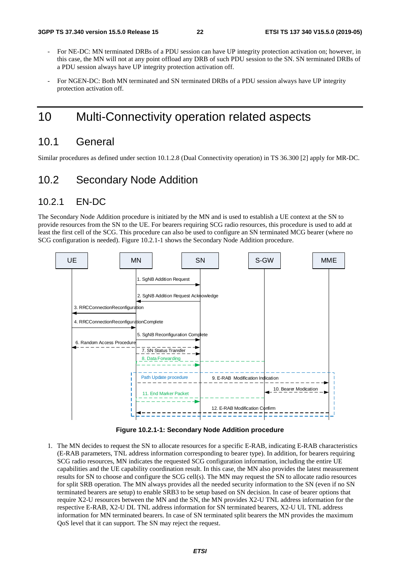- For NE-DC: MN terminated DRBs of a PDU session can have UP integrity protection activation on; however, in this case, the MN will not at any point offload any DRB of such PDU session to the SN. SN terminated DRBs of a PDU session always have UP integrity protection activation off.
- For NGEN-DC: Both MN terminated and SN terminated DRBs of a PDU session always have UP integrity protection activation off.

# 10 Multi-Connectivity operation related aspects

### 10.1 General

Similar procedures as defined under section 10.1.2.8 (Dual Connectivity operation) in TS 36.300 [2] apply for MR-DC.

### 10.2 Secondary Node Addition

### 10.2.1 EN-DC

The Secondary Node Addition procedure is initiated by the MN and is used to establish a UE context at the SN to provide resources from the SN to the UE. For bearers requiring SCG radio resources, this procedure is used to add at least the first cell of the SCG. This procedure can also be used to configure an SN terminated MCG bearer (where no SCG configuration is needed). Figure 10.2.1-1 shows the Secondary Node Addition procedure.



**Figure 10.2.1-1: Secondary Node Addition procedure** 

1. The MN decides to request the SN to allocate resources for a specific E-RAB, indicating E-RAB characteristics (E-RAB parameters, TNL address information corresponding to bearer type). In addition, for bearers requiring SCG radio resources, MN indicates the requested SCG configuration information, including the entire UE capabilities and the UE capability coordination result. In this case, the MN also provides the latest measurement results for SN to choose and configure the SCG cell(s). The MN may request the SN to allocate radio resources for split SRB operation. The MN always provides all the needed security information to the SN (even if no SN terminated bearers are setup) to enable SRB3 to be setup based on SN decision. In case of bearer options that require X2-U resources between the MN and the SN, the MN provides X2-U TNL address information for the respective E-RAB, X2-U DL TNL address information for SN terminated bearers, X2-U UL TNL address information for MN terminated bearers. In case of SN terminated split bearers the MN provides the maximum QoS level that it can support. The SN may reject the request.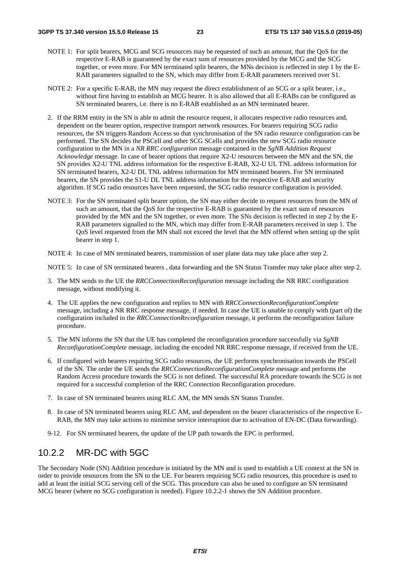- NOTE 1: For split bearers, MCG and SCG resources may be requested of such an amount, that the QoS for the respective E-RAB is guaranteed by the exact sum of resources provided by the MCG and the SCG together, or even more. For MN terminated split bearers, the MNs decision is reflected in step 1 by the E-RAB parameters signalled to the SN, which may differ from E-RAB parameters received over S1.
- NOTE 2: For a specific E-RAB, the MN may request the direct establishment of an SCG or a split bearer, i.e., without first having to establish an MCG bearer. It is also allowed that all E-RABs can be configured as SN terminated bearers, i.e. there is no E-RAB established as an MN terminated bearer.
- 2. If the RRM entity in the SN is able to admit the resource request, it allocates respective radio resources and, dependent on the bearer option, respective transport network resources. For bearers requiring SCG radio resources, the SN triggers Random Access so that synchronisation of the SN radio resource configuration can be performed. The SN decides the PSCell and other SCG SCells and provides the new SCG radio resource configuration to the MN in a *NR RRC configuration* message contained in the *SgNB Addition Request Acknowledge* message. In case of bearer options that require X2-U resources between the MN and the SN, the SN provides X2-U TNL address information for the respective E-RAB, X2-U UL TNL address information for SN terminated bearers, X2-U DL TNL address information for MN terminated bearers. For SN terminated bearers, the SN provides the S1-U DL TNL address information for the respective E-RAB and security algorithm. If SCG radio resources have been requested, the SCG radio resource configuration is provided.
- NOTE 3: For the SN terminated split bearer option, the SN may either decide to request resources from the MN of such an amount, that the QoS for the respective E-RAB is guaranteed by the exact sum of resources provided by the MN and the SN together, or even more. The SNs decision is reflected in step 2 by the E-RAB parameters signalled to the MN, which may differ from E-RAB parameters received in step 1. The QoS level requested from the MN shall not exceed the level that the MN offered when setting up the split bearer in step 1.
- NOTE 4: In case of MN terminated bearers, transmission of user plane data may take place after step 2.

NOTE 5: In case of SN terminated bearers , data forwarding and the SN Status Transfer may take place after step 2.

- 3. The MN sends to the UE the *RRCConnectionReconfiguration* message including the NR RRC configuration message, without modifying it.
- 4. The UE applies the new configuration and replies to MN with *RRCConnectionReconfigurationComplete* message, including a NR RRC response message, if needed. In case the UE is unable to comply with (part of) the configuration included in the *RRCConnectionReconfiguration* message, it performs the reconfiguration failure procedure.
- 5. The MN informs the SN that the UE has completed the reconfiguration procedure successfully via *SgNB ReconfigurationComplete* message, including the encoded NR RRC response message, if received from the UE.
- 6. If configured with bearers requiring SCG radio resources, the UE performs synchronisation towards the PSCell of the SN. The order the UE sends the *RRCConnectionReconfigurationComplete* message and performs the Random Access procedure towards the SCG is not defined. The successful RA procedure towards the SCG is not required for a successful completion of the RRC Connection Reconfiguration procedure.
- 7. In case of SN terminated bearers using RLC AM, the MN sends SN Status Transfer.
- 8. In case of SN terminated bearers using RLC AM, and dependent on the bearer characteristics of the respective E-RAB, the MN may take actions to minimise service interruption due to activation of EN-DC (Data forwarding).
- 9-12. For SN terminated bearers, the update of the UP path towards the EPC is performed.

### 10.2.2 MR-DC with 5GC

The Secondary Node (SN) Addition procedure is initiated by the MN and is used to establish a UE context at the SN in order to provide resources from the SN to the UE. For bearers requiring SCG radio resources, this procedure is used to add at least the initial SCG serving cell of the SCG. This procedure can also be used to configure an SN terminated MCG bearer (where no SCG configuration is needed). Figure 10.2.2-1 shows the SN Addition procedure.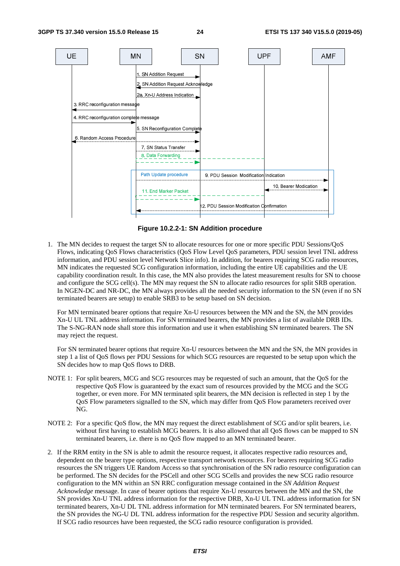

**Figure 10.2.2-1: SN Addition procedure** 

1. The MN decides to request the target SN to allocate resources for one or more specific PDU Sessions/QoS Flows, indicating QoS Flows characteristics (QoS Flow Level QoS parameters, PDU session level TNL address information, and PDU session level Network Slice info). In addition, for bearers requiring SCG radio resources, MN indicates the requested SCG configuration information, including the entire UE capabilities and the UE capability coordination result. In this case, the MN also provides the latest measurement results for SN to choose and configure the SCG cell(s). The MN may request the SN to allocate radio resources for split SRB operation. In NGEN-DC and NR-DC, the MN always provides all the needed security information to the SN (even if no SN terminated bearers are setup) to enable SRB3 to be setup based on SN decision.

 For MN terminated bearer options that require Xn-U resources between the MN and the SN, the MN provides Xn-U UL TNL address information. For SN terminated bearers, the MN provides a list of available DRB IDs. The S-NG-RAN node shall store this information and use it when establishing SN terminated bearers. The SN may reject the request.

 For SN terminated bearer options that require Xn-U resources between the MN and the SN, the MN provides in step 1 a list of QoS flows per PDU Sessions for which SCG resources are requested to be setup upon which the SN decides how to map QoS flows to DRB.

- NOTE 1: For split bearers, MCG and SCG resources may be requested of such an amount, that the QoS for the respective QoS Flow is guaranteed by the exact sum of resources provided by the MCG and the SCG together, or even more. For MN terminated split bearers, the MN decision is reflected in step 1 by the QoS Flow parameters signalled to the SN, which may differ from QoS Flow parameters received over NG.
- NOTE 2: For a specific OoS flow, the MN may request the direct establishment of SCG and/or split bearers, i.e. without first having to establish MCG bearers. It is also allowed that all QoS flows can be mapped to SN terminated bearers, i.e. there is no QoS flow mapped to an MN terminated bearer.
- 2. If the RRM entity in the SN is able to admit the resource request, it allocates respective radio resources and, dependent on the bearer type options, respective transport network resources. For bearers requiring SCG radio resources the SN triggers UE Random Access so that synchronisation of the SN radio resource configuration can be performed. The SN decides for the PSCell and other SCG SCells and provides the new SCG radio resource configuration to the MN within an SN RRC configuration message contained in the *SN Addition Request Acknowledge* message. In case of bearer options that require Xn-U resources between the MN and the SN, the SN provides Xn-U TNL address information for the respective DRB, Xn-U UL TNL address information for SN terminated bearers, Xn-U DL TNL address information for MN terminated bearers. For SN terminated bearers, the SN provides the NG-U DL TNL address information for the respective PDU Session and security algorithm. If SCG radio resources have been requested, the SCG radio resource configuration is provided.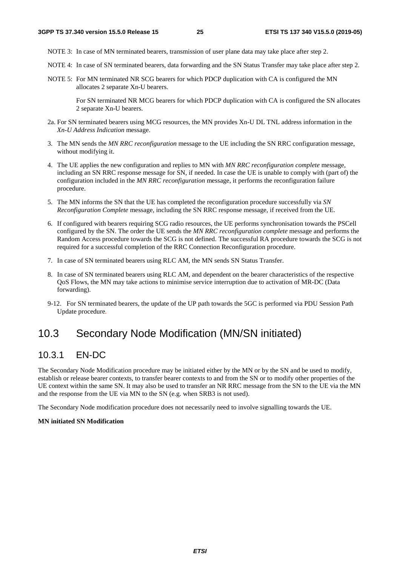- NOTE 3: In case of MN terminated bearers, transmission of user plane data may take place after step 2.
- NOTE 4: In case of SN terminated bearers, data forwarding and the SN Status Transfer may take place after step 2.
- NOTE 5: For MN terminated NR SCG bearers for which PDCP duplication with CA is configured the MN allocates 2 separate Xn-U bearers.

 For SN terminated NR MCG bearers for which PDCP duplication with CA is configured the SN allocates 2 separate Xn-U bearers.

- 2a. For SN terminated bearers using MCG resources, the MN provides Xn-U DL TNL address information in the *Xn-U Address Indication* message.
- 3. The MN sends the *MN RRC reconfiguration* message to the UE including the SN RRC configuration message, without modifying it.
- 4. The UE applies the new configuration and replies to MN with *MN RRC reconfiguration complete* message, including an SN RRC response message for SN, if needed. In case the UE is unable to comply with (part of) the configuration included in the *MN RRC reconfiguration* message, it performs the reconfiguration failure procedure.
- 5. The MN informs the SN that the UE has completed the reconfiguration procedure successfully via *SN Reconfiguration Complete* message, including the SN RRC response message, if received from the UE.
- 6. If configured with bearers requiring SCG radio resources, the UE performs synchronisation towards the PSCell configured by the SN. The order the UE sends the *MN RRC reconfiguration complete* message and performs the Random Access procedure towards the SCG is not defined. The successful RA procedure towards the SCG is not required for a successful completion of the RRC Connection Reconfiguration procedure.
- 7. In case of SN terminated bearers using RLC AM, the MN sends SN Status Transfer.
- 8. In case of SN terminated bearers using RLC AM, and dependent on the bearer characteristics of the respective QoS Flows, the MN may take actions to minimise service interruption due to activation of MR-DC (Data forwarding).
- 9-12. For SN terminated bearers, the update of the UP path towards the 5GC is performed via PDU Session Path Update procedure*.*

### 10.3 Secondary Node Modification (MN/SN initiated)

### 10.3.1 EN-DC

The Secondary Node Modification procedure may be initiated either by the MN or by the SN and be used to modify, establish or release bearer contexts, to transfer bearer contexts to and from the SN or to modify other properties of the UE context within the same SN. It may also be used to transfer an NR RRC message from the SN to the UE via the MN and the response from the UE via MN to the SN (e.g. when SRB3 is not used).

The Secondary Node modification procedure does not necessarily need to involve signalling towards the UE.

#### **MN initiated SN Modification**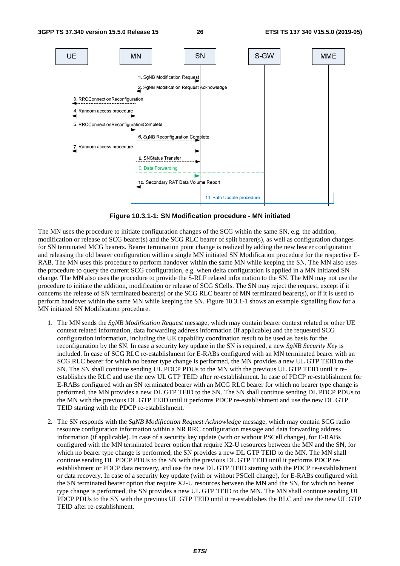

**Figure 10.3.1-1: SN Modification procedure - MN initiated** 

The MN uses the procedure to initiate configuration changes of the SCG within the same SN, e.g. the addition, modification or release of SCG bearer(s) and the SCG RLC bearer of split bearer(s), as well as configuration changes for SN terminated MCG bearers. Bearer termination point change is realized by adding the new bearer configuration and releasing the old bearer configuration within a single MN initiated SN Modification procedure for the respective E-RAB. The MN uses this procedure to perform handover within the same MN while keeping the SN. The MN also uses the procedure to query the current SCG configuration, e.g. when delta configuration is applied in a MN initiated SN change. The MN also uses the procedure to provide the S-RLF related information to the SN. The MN may not use the procedure to initiate the addition, modification or release of SCG SCells. The SN may reject the request, except if it concerns the release of SN terminated bearer(s) or the SCG RLC bearer of MN terminated bearer(s), or if it is used to perform handover within the same MN while keeping the SN. Figure 10.3.1-1 shows an example signalling flow for a MN initiated SN Modification procedure.

- 1. The MN sends the *SgNB Modification Request* message, which may contain bearer context related or other UE context related information, data forwarding address information (if applicable) and the requested SCG configuration information, including the UE capability coordination result to be used as basis for the reconfiguration by the SN. In case a security key update in the SN is required, a new *SgNB Security Key* is included. In case of SCG RLC re-establishment for E-RABs configured with an MN terminated bearer with an SCG RLC bearer for which no bearer type change is performed, the MN provides a new UL GTP TEID to the SN. The SN shall continue sending UL PDCP PDUs to the MN with the previous UL GTP TEID until it reestablishes the RLC and use the new UL GTP TEID after re-establishment. In case of PDCP re-establishment for E-RABs configured with an SN terminated bearer with an MCG RLC bearer for which no bearer type change is performed, the MN provides a new DL GTP TEID to the SN. The SN shall continue sending DL PDCP PDUs to the MN with the previous DL GTP TEID until it performs PDCP re-establishment and use the new DL GTP TEID starting with the PDCP re-establishment.
- 2. The SN responds with the *SgNB Modification Request Acknowledge* message, which may contain SCG radio resource configuration information within a NR RRC configuration message and data forwarding address information (if applicable). In case of a security key update (with or without PSCell change), for E-RABs configured with the MN terminated bearer option that require X2-U resources between the MN and the SN, for which no bearer type change is performed, the SN provides a new DL GTP TEID to the MN. The MN shall continue sending DL PDCP PDUs to the SN with the previous DL GTP TEID until it performs PDCP reestablishment or PDCP data recovery, and use the new DL GTP TEID starting with the PDCP re-establishment or data recovery. In case of a security key update (with or without PSCell change), for E-RABs configured with the SN terminated bearer option that require X2-U resources between the MN and the SN, for which no bearer type change is performed, the SN provides a new UL GTP TEID to the MN. The MN shall continue sending UL PDCP PDUs to the SN with the previous UL GTP TEID until it re-establishes the RLC and use the new UL GTP TEID after re-establishment.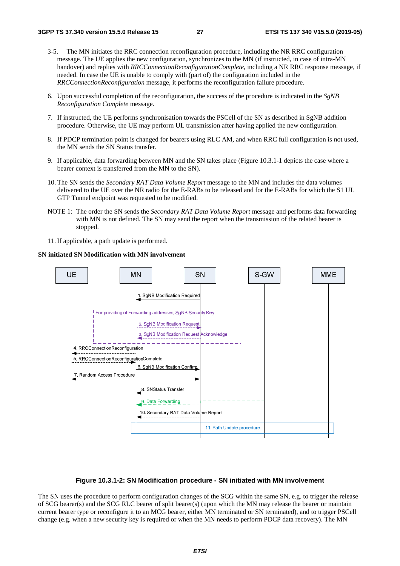- 3-5. The MN initiates the RRC connection reconfiguration procedure, including the NR RRC configuration message. The UE applies the new configuration, synchronizes to the MN (if instructed, in case of intra-MN handover) and replies with *RRCConnectionReconfigurationComplete*, including a NR RRC response message, if needed. In case the UE is unable to comply with (part of) the configuration included in the *RRCConnectionReconfiguration* message, it performs the reconfiguration failure procedure.
- 6. Upon successful completion of the reconfiguration, the success of the procedure is indicated in the *SgNB Reconfiguration Complete* message.
- 7. If instructed, the UE performs synchronisation towards the PSCell of the SN as described in SgNB addition procedure. Otherwise, the UE may perform UL transmission after having applied the new configuration.
- 8. If PDCP termination point is changed for bearers using RLC AM, and when RRC full configuration is not used, the MN sends the SN Status transfer.
- 9. If applicable, data forwarding between MN and the SN takes place (Figure 10.3.1-1 depicts the case where a bearer context is transferred from the MN to the SN).
- 10. The SN sends the *Secondary RAT Data Volume Report* message to the MN and includes the data volumes delivered to the UE over the NR radio for the E-RABs to be released and for the E-RABs for which the S1 UL GTP Tunnel endpoint was requested to be modified.
- NOTE 1: The order the SN sends the *Secondary RAT Data Volume Report* message and performs data forwarding with MN is not defined. The SN may send the report when the transmission of the related bearer is stopped.
- 11. If applicable, a path update is performed.

#### **SN initiated SN Modification with MN involvement**



#### **Figure 10.3.1-2: SN Modification procedure - SN initiated with MN involvement**

The SN uses the procedure to perform configuration changes of the SCG within the same SN, e.g. to trigger the release of SCG bearer(s) and the SCG RLC bearer of split bearer(s) (upon which the MN may release the bearer or maintain current bearer type or reconfigure it to an MCG bearer, either MN terminated or SN terminated), and to trigger PSCell change (e.g. when a new security key is required or when the MN needs to perform PDCP data recovery). The MN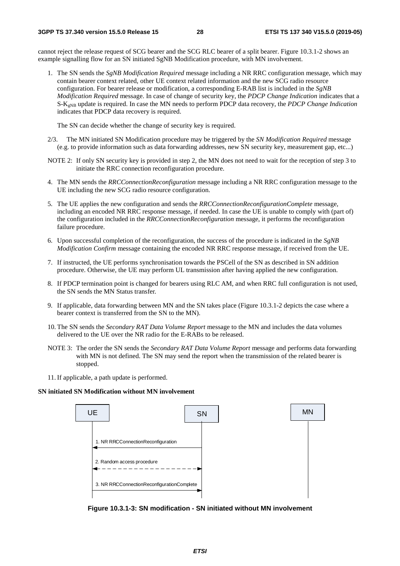cannot reject the release request of SCG bearer and the SCG RLC bearer of a split bearer. Figure 10.3.1-2 shows an example signalling flow for an SN initiated SgNB Modification procedure, with MN involvement.

1. The SN sends the *SgNB Modification Required* message including a NR RRC configuration message, which may contain bearer context related, other UE context related information and the new SCG radio resource configuration. For bearer release or modification, a corresponding E-RAB list is included in the *SgNB Modification Required* message. In case of change of security key, the *PDCP Change Indication* indicates that a S-KgNB update is required. In case the MN needs to perform PDCP data recovery, the *PDCP Change Indication* indicates that PDCP data recovery is required.

The SN can decide whether the change of security key is required.

- 2/3. The MN initiated SN Modification procedure may be triggered by the *SN Modification Required* message (e.g. to provide information such as data forwarding addresses, new SN security key, measurement gap, etc...)
- NOTE 2: If only SN security key is provided in step 2, the MN does not need to wait for the reception of step 3 to initiate the RRC connection reconfiguration procedure.
- 4. The MN sends the *RRCConnectionReconfiguration* message including a NR RRC configuration message to the UE including the new SCG radio resource configuration.
- 5. The UE applies the new configuration and sends the *RRCConnectionReconfigurationComplete* message, including an encoded NR RRC response message, if needed. In case the UE is unable to comply with (part of) the configuration included in the *RRCConnectionReconfiguration* message, it performs the reconfiguration failure procedure.
- 6. Upon successful completion of the reconfiguration, the success of the procedure is indicated in the *SgNB Modification Confirm* message containing the encoded NR RRC response message, if received from the UE.
- 7. If instructed, the UE performs synchronisation towards the PSCell of the SN as described in SN addition procedure. Otherwise, the UE may perform UL transmission after having applied the new configuration.
- 8. If PDCP termination point is changed for bearers using RLC AM, and when RRC full configuration is not used, the SN sends the MN Status transfer.
- 9. If applicable, data forwarding between MN and the SN takes place (Figure 10.3.1-2 depicts the case where a bearer context is transferred from the SN to the MN).
- 10. The SN sends the *Secondary RAT Data Volume Report* message to the MN and includes the data volumes delivered to the UE over the NR radio for the E-RABs to be released.
- NOTE 3: The order the SN sends the *Secondary RAT Data Volume Report* message and performs data forwarding with MN is not defined. The SN may send the report when the transmission of the related bearer is stopped.
- 11. If applicable, a path update is performed.

#### **SN initiated SN Modification without MN involvement**



**Figure 10.3.1-3: SN modification - SN initiated without MN involvement**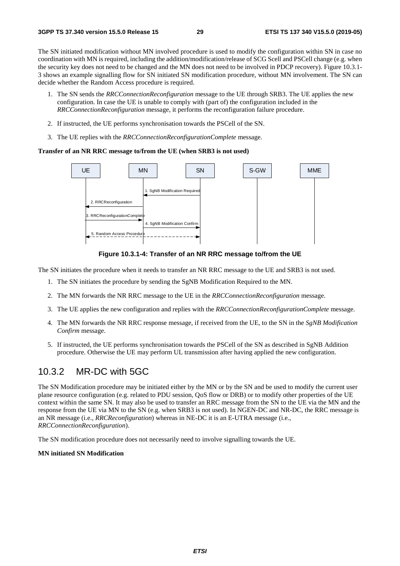The SN initiated modification without MN involved procedure is used to modify the configuration within SN in case no coordination with MN is required, including the addition/modification/release of SCG Scell and PSCell change (e.g. when the security key does not need to be changed and the MN does not need to be involved in PDCP recovery). Figure 10.3.1- 3 shows an example signalling flow for SN initiated SN modification procedure, without MN involvement. The SN can decide whether the Random Access procedure is required.

- 1. The SN sends the *RRCConnectionReconfiguration* message to the UE through SRB3. The UE applies the new configuration. In case the UE is unable to comply with (part of) the configuration included in the *RRCConnectionReconfiguration* message, it performs the reconfiguration failure procedure.
- 2. If instructed, the UE performs synchronisation towards the PSCell of the SN.
- 3. The UE replies with the *RRCConnectionReconfigurationComplete* message.

#### **Transfer of an NR RRC message to/from the UE (when SRB3 is not used)**



**Figure 10.3.1-4: Transfer of an NR RRC message to/from the UE** 

The SN initiates the procedure when it needs to transfer an NR RRC message to the UE and SRB3 is not used.

- 1. The SN initiates the procedure by sending the SgNB Modification Required to the MN.
- 2. The MN forwards the NR RRC message to the UE in the *RRCConnectionReconfiguration* message.
- 3. The UE applies the new configuration and replies with the *RRCConnectionReconfigurationComplete* message.
- 4. The MN forwards the NR RRC response message, if received from the UE, to the SN in the *SgNB Modification Confirm* message.
- 5. If instructed, the UE performs synchronisation towards the PSCell of the SN as described in SgNB Addition procedure. Otherwise the UE may perform UL transmission after having applied the new configuration.

### 10.3.2 MR-DC with 5GC

The SN Modification procedure may be initiated either by the MN or by the SN and be used to modify the current user plane resource configuration (e.g. related to PDU session, QoS flow or DRB) or to modify other properties of the UE context within the same SN. It may also be used to transfer an RRC message from the SN to the UE via the MN and the response from the UE via MN to the SN (e.g. when SRB3 is not used). In NGEN-DC and NR-DC, the RRC message is an NR message (i.e., *RRCReconfiguration*) whereas in NE-DC it is an E-UTRA message (i.e., *RRCConnectionReconfiguration*).

The SN modification procedure does not necessarily need to involve signalling towards the UE.

#### **MN initiated SN Modification**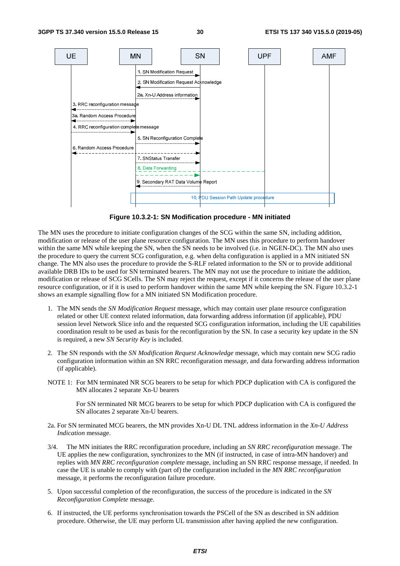

**Figure 10.3.2-1: SN Modification procedure - MN initiated** 

The MN uses the procedure to initiate configuration changes of the SCG within the same SN, including addition, modification or release of the user plane resource configuration. The MN uses this procedure to perform handover within the same MN while keeping the SN, when the SN needs to be involved (i.e. in NGEN-DC). The MN also uses the procedure to query the current SCG configuration, e.g. when delta configuration is applied in a MN initiated SN change. The MN also uses the procedure to provide the S-RLF related information to the SN or to provide additional available DRB IDs to be used for SN terminated bearers. The MN may not use the procedure to initiate the addition, modification or release of SCG SCells. The SN may reject the request, except if it concerns the release of the user plane resource configuration, or if it is used to perform handover within the same MN while keeping the SN. Figure 10.3.2-1 shows an example signalling flow for a MN initiated SN Modification procedure.

- 1. The MN sends the *SN Modification Request* message, which may contain user plane resource configuration related or other UE context related information, data forwarding address information (if applicable), PDU session level Network Slice info and the requested SCG configuration information, including the UE capabilities coordination result to be used as basis for the reconfiguration by the SN. In case a security key update in the SN is required, a new *SN Security Key* is included.
- 2. The SN responds with the *SN Modification Request Acknowledge* message, which may contain new SCG radio configuration information within an SN RRC reconfiguration message*,* and data forwarding address information (if applicable).
- NOTE 1: For MN terminated NR SCG bearers to be setup for which PDCP duplication with CA is configured the MN allocates 2 separate Xn-U bearers

 For SN terminated NR MCG bearers to be setup for which PDCP duplication with CA is configured the SN allocates 2 separate Xn-U bearers.

- 2a. For SN terminated MCG bearers, the MN provides Xn-U DL TNL address information in the *Xn-U Address Indication* message.
- 3/4. The MN initiates the RRC reconfiguration procedure, including an *SN RRC reconfiguration* message. The UE applies the new configuration, synchronizes to the MN (if instructed, in case of intra-MN handover) and replies with *MN RRC reconfiguration complete* message, including an SN RRC response message, if needed. In case the UE is unable to comply with (part of) the configuration included in the *MN RRC reconfiguration* message, it performs the reconfiguration failure procedure.
- 5. Upon successful completion of the reconfiguration, the success of the procedure is indicated in the *SN Reconfiguration Complete* message.
- 6. If instructed, the UE performs synchronisation towards the PSCell of the SN as described in SN addition procedure. Otherwise, the UE may perform UL transmission after having applied the new configuration.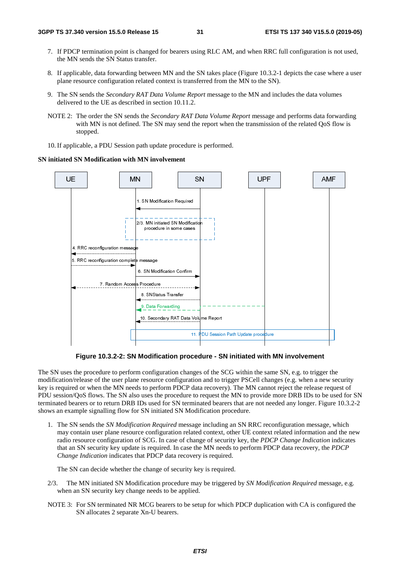- 7. If PDCP termination point is changed for bearers using RLC AM, and when RRC full configuration is not used, the MN sends the SN Status transfer.
- 8. If applicable, data forwarding between MN and the SN takes place (Figure 10.3.2-1 depicts the case where a user plane resource configuration related context is transferred from the MN to the SN).
- 9. The SN sends the *Secondary RAT Data Volume Report* message to the MN and includes the data volumes delivered to the UE as described in section 10.11.2.
- NOTE 2: The order the SN sends the *Secondary RAT Data Volume Report* message and performs data forwarding with MN is not defined. The SN may send the report when the transmission of the related QoS flow is stopped.
- 10. If applicable, a PDU Session path update procedure is performed.

#### **SN initiated SN Modification with MN involvement**



**Figure 10.3.2-2: SN Modification procedure - SN initiated with MN involvement** 

The SN uses the procedure to perform configuration changes of the SCG within the same SN, e.g. to trigger the modification/release of the user plane resource configuration and to trigger PSCell changes (e.g. when a new security key is required or when the MN needs to perform PDCP data recovery). The MN cannot reject the release request of PDU session/QoS flows. The SN also uses the procedure to request the MN to provide more DRB IDs to be used for SN terminated bearers or to return DRB IDs used for SN terminated bearers that are not needed any longer. Figure 10.3.2-2 shows an example signalling flow for SN initiated SN Modification procedure.

1. The SN sends the *SN Modification Required* message including an SN RRC reconfiguration message, which may contain user plane resource configuration related context, other UE context related information and the new radio resource configuration of SCG. In case of change of security key, the *PDCP Change Indication* indicates that an SN security key update is required. In case the MN needs to perform PDCP data recovery, the *PDCP Change Indication* indicates that PDCP data recovery is required.

The SN can decide whether the change of security key is required.

- 2/3. The MN initiated SN Modification procedure may be triggered by *SN Modification Required* message, e.g. when an SN security key change needs to be applied.
- NOTE 3: For SN terminated NR MCG bearers to be setup for which PDCP duplication with CA is configured the SN allocates 2 separate Xn-U bearers.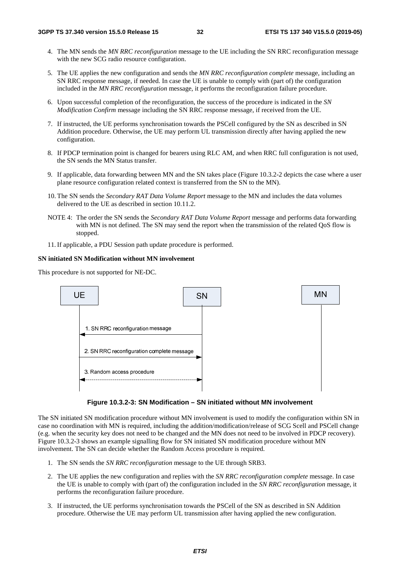- 4. The MN sends the *MN RRC reconfiguration* message to the UE including the SN RRC reconfiguration message with the new SCG radio resource configuration.
- 5. The UE applies the new configuration and sends the *MN RRC reconfiguration complete* message, including an SN RRC response message, if needed. In case the UE is unable to comply with (part of) the configuration included in the *MN RRC reconfiguration* message, it performs the reconfiguration failure procedure.
- 6. Upon successful completion of the reconfiguration, the success of the procedure is indicated in the *SN Modification Confirm* message including the SN RRC response message, if received from the UE.
- 7. If instructed, the UE performs synchronisation towards the PSCell configured by the SN as described in SN Addition procedure. Otherwise, the UE may perform UL transmission directly after having applied the new configuration.
- 8. If PDCP termination point is changed for bearers using RLC AM, and when RRC full configuration is not used, the SN sends the MN Status transfer.
- 9. If applicable, data forwarding between MN and the SN takes place (Figure 10.3.2-2 depicts the case where a user plane resource configuration related context is transferred from the SN to the MN).
- 10. The SN sends the *Secondary RAT Data Volume Report* message to the MN and includes the data volumes delivered to the UE as described in section 10.11.2.
- NOTE 4: The order the SN sends the *Secondary RAT Data Volume Report* message and performs data forwarding with MN is not defined. The SN may send the report when the transmission of the related QoS flow is stopped.
- 11. If applicable, a PDU Session path update procedure is performed.

#### **SN initiated SN Modification without MN involvement**

This procedure is not supported for NE-DC.



**Figure 10.3.2-3: SN Modification – SN initiated without MN involvement** 

The SN initiated SN modification procedure without MN involvement is used to modify the configuration within SN in case no coordination with MN is required, including the addition/modification/release of SCG Scell and PSCell change (e.g. when the security key does not need to be changed and the MN does not need to be involved in PDCP recovery). Figure 10.3.2-3 shows an example signalling flow for SN initiated SN modification procedure without MN involvement. The SN can decide whether the Random Access procedure is required.

- 1. The SN sends the *SN RRC reconfiguration* message to the UE through SRB3.
- 2. The UE applies the new configuration and replies with the *SN RRC reconfiguration complete* message. In case the UE is unable to comply with (part of) the configuration included in the *SN RRC reconfiguration* message, it performs the reconfiguration failure procedure.
- 3. If instructed, the UE performs synchronisation towards the PSCell of the SN as described in SN Addition procedure. Otherwise the UE may perform UL transmission after having applied the new configuration.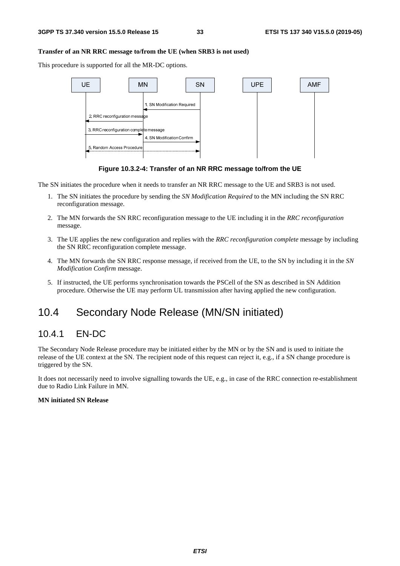#### **Transfer of an NR RRC message to/from the UE (when SRB3 is not used)**

This procedure is supported for all the MR-DC options.



**Figure 10.3.2-4: Transfer of an NR RRC message to/from the UE** 

The SN initiates the procedure when it needs to transfer an NR RRC message to the UE and SRB3 is not used.

- 1. The SN initiates the procedure by sending the *SN Modification Required* to the MN including the SN RRC reconfiguration message.
- 2. The MN forwards the SN RRC reconfiguration message to the UE including it in the *RRC reconfiguration*  message.
- 3. The UE applies the new configuration and replies with the *RRC reconfiguration complete* message by including the SN RRC reconfiguration complete message.
- 4. The MN forwards the SN RRC response message, if received from the UE, to the SN by including it in the *SN Modification Confirm* message.
- 5. If instructed, the UE performs synchronisation towards the PSCell of the SN as described in SN Addition procedure. Otherwise the UE may perform UL transmission after having applied the new configuration.

### 10.4 Secondary Node Release (MN/SN initiated)

### 10.4.1 EN-DC

The Secondary Node Release procedure may be initiated either by the MN or by the SN and is used to initiate the release of the UE context at the SN. The recipient node of this request can reject it, e.g., if a SN change procedure is triggered by the SN.

It does not necessarily need to involve signalling towards the UE, e.g., in case of the RRC connection re-establishment due to Radio Link Failure in MN.

#### **MN initiated SN Release**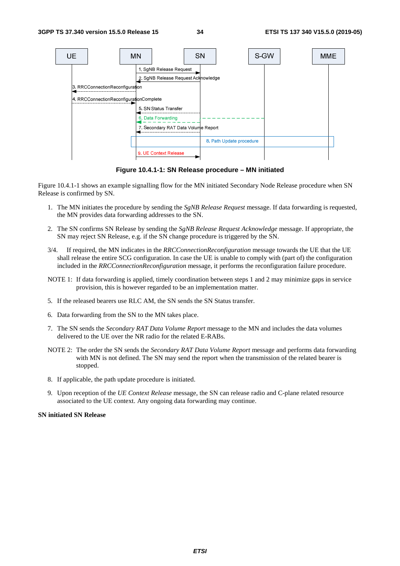

**Figure 10.4.1-1: SN Release procedure – MN initiated** 

Figure 10.4.1-1 shows an example signalling flow for the MN initiated Secondary Node Release procedure when SN Release is confirmed by SN.

- 1. The MN initiates the procedure by sending the *SgNB Release Request* message. If data forwarding is requested, the MN provides data forwarding addresses to the SN.
- 2. The SN confirms SN Release by sending the *SgNB Release Request Acknowledge* message. If appropriate, the SN may reject SN Release, e.g. if the SN change procedure is triggered by the SN.
- 3/4. If required, the MN indicates in the *RRCConnectionReconfiguration* message towards the UE that the UE shall release the entire SCG configuration. In case the UE is unable to comply with (part of) the configuration included in the *RRCConnectionReconfiguration* message, it performs the reconfiguration failure procedure.
- NOTE 1: If data forwarding is applied, timely coordination between steps 1 and 2 may minimize gaps in service provision, this is however regarded to be an implementation matter.
- 5. If the released bearers use RLC AM, the SN sends the SN Status transfer.
- 6. Data forwarding from the SN to the MN takes place.
- 7. The SN sends the *Secondary RAT Data Volume Report* message to the MN and includes the data volumes delivered to the UE over the NR radio for the related E-RABs.
- NOTE 2: The order the SN sends the *Secondary RAT Data Volume Report* message and performs data forwarding with MN is not defined. The SN may send the report when the transmission of the related bearer is stopped.
- 8. If applicable, the path update procedure is initiated.
- 9. Upon reception of the *UE Context Release* message, the SN can release radio and C-plane related resource associated to the UE context. Any ongoing data forwarding may continue.

#### **SN initiated SN Release**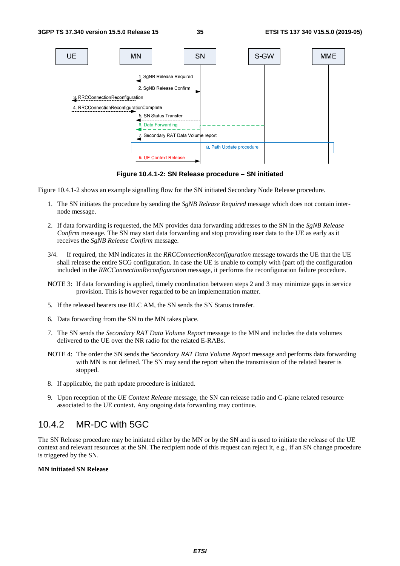

**Figure 10.4.1-2: SN Release procedure – SN initiated** 

Figure 10.4.1-2 shows an example signalling flow for the SN initiated Secondary Node Release procedure.

- 1. The SN initiates the procedure by sending the *SgNB Release Required* message which does not contain internode message.
- 2. If data forwarding is requested, the MN provides data forwarding addresses to the SN in the *SgNB Release Confirm* message. The SN may start data forwarding and stop providing user data to the UE as early as it receives the *SgNB Release Confirm* message.
- 3/4. If required, the MN indicates in the *RRCConnectionReconfiguration* message towards the UE that the UE shall release the entire SCG configuration. In case the UE is unable to comply with (part of) the configuration included in the *RRCConnectionReconfiguration* message, it performs the reconfiguration failure procedure.
- NOTE 3: If data forwarding is applied, timely coordination between steps 2 and 3 may minimize gaps in service provision. This is however regarded to be an implementation matter.
- 5. If the released bearers use RLC AM, the SN sends the SN Status transfer.
- 6. Data forwarding from the SN to the MN takes place.
- 7. The SN sends the *Secondary RAT Data Volume Report* message to the MN and includes the data volumes delivered to the UE over the NR radio for the related E-RABs.
- NOTE 4: The order the SN sends the *Secondary RAT Data Volume Report* message and performs data forwarding with MN is not defined. The SN may send the report when the transmission of the related bearer is stopped.
- 8. If applicable, the path update procedure is initiated.
- 9. Upon reception of the *UE Context Release* message, the SN can release radio and C-plane related resource associated to the UE context. Any ongoing data forwarding may continue.

### 10.4.2 MR-DC with 5GC

The SN Release procedure may be initiated either by the MN or by the SN and is used to initiate the release of the UE context and relevant resources at the SN. The recipient node of this request can reject it, e.g., if an SN change procedure is triggered by the SN.

#### **MN initiated SN Release**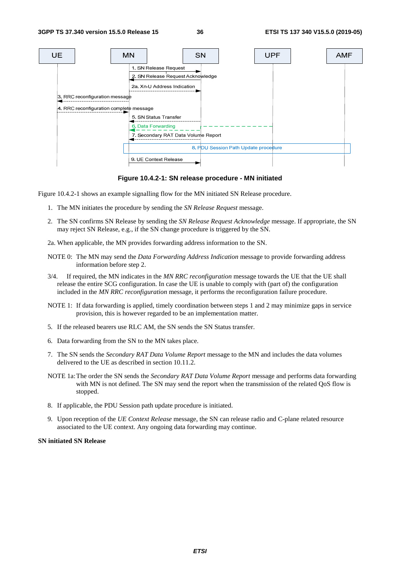

**Figure 10.4.2-1: SN release procedure - MN initiated** 

Figure 10.4.2-1 shows an example signalling flow for the MN initiated SN Release procedure.

- 1. The MN initiates the procedure by sending the *SN Release Request* message.
- 2. The SN confirms SN Release by sending the *SN Release Request Acknowledge* message. If appropriate, the SN may reject SN Release, e.g., if the SN change procedure is triggered by the SN.

2a. When applicable, the MN provides forwarding address information to the SN.

- NOTE 0: The MN may send the *Data Forwarding Address Indication* message to provide forwarding address information before step 2.
- 3/4. If required, the MN indicates in the *MN RRC reconfiguration* message towards the UE that the UE shall release the entire SCG configuration. In case the UE is unable to comply with (part of) the configuration included in the *MN RRC reconfiguration* message, it performs the reconfiguration failure procedure.
- NOTE 1: If data forwarding is applied, timely coordination between steps 1 and 2 may minimize gaps in service provision, this is however regarded to be an implementation matter.
- 5. If the released bearers use RLC AM, the SN sends the SN Status transfer.
- 6. Data forwarding from the SN to the MN takes place.
- 7. The SN sends the *Secondary RAT Data Volume Report* message to the MN and includes the data volumes delivered to the UE as described in section 10.11.2.
- NOTE 1a: The order the SN sends the *Secondary RAT Data Volume Report* message and performs data forwarding with MN is not defined. The SN may send the report when the transmission of the related QoS flow is stopped.
- 8. If applicable, the PDU Session path update procedure is initiated.
- 9. Upon reception of the *UE Context Release* message, the SN can release radio and C-plane related resource associated to the UE context. Any ongoing data forwarding may continue.

#### **SN initiated SN Release**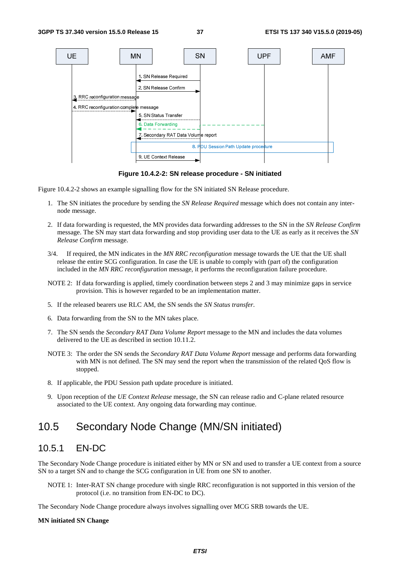

**Figure 10.4.2-2: SN release procedure - SN initiated** 

Figure 10.4.2-2 shows an example signalling flow for the SN initiated SN Release procedure.

- 1. The SN initiates the procedure by sending the *SN Release Required* message which does not contain any internode message.
- 2. If data forwarding is requested, the MN provides data forwarding addresses to the SN in the *SN Release Confirm* message. The SN may start data forwarding and stop providing user data to the UE as early as it receives the *SN Release Confirm* message.
- 3/4. If required, the MN indicates in the *MN RRC reconfiguration* message towards the UE that the UE shall release the entire SCG configuration. In case the UE is unable to comply with (part of) the configuration included in the *MN RRC reconfiguration* message, it performs the reconfiguration failure procedure.
- NOTE 2: If data forwarding is applied, timely coordination between steps 2 and 3 may minimize gaps in service provision. This is however regarded to be an implementation matter.
- 5. If the released bearers use RLC AM, the SN sends the *SN Status transfer*.
- 6. Data forwarding from the SN to the MN takes place.
- 7. The SN sends the *Secondary RAT Data Volume Report* message to the MN and includes the data volumes delivered to the UE as described in section 10.11.2.
- NOTE 3: The order the SN sends the *Secondary RAT Data Volume Report* message and performs data forwarding with MN is not defined. The SN may send the report when the transmission of the related QoS flow is stopped.
- 8. If applicable, the PDU Session path update procedure is initiated.
- 9. Upon reception of the *UE Context Release* message, the SN can release radio and C-plane related resource associated to the UE context. Any ongoing data forwarding may continue.

### 10.5 Secondary Node Change (MN/SN initiated)

### 10.5.1 EN-DC

The Secondary Node Change procedure is initiated either by MN or SN and used to transfer a UE context from a source SN to a target SN and to change the SCG configuration in UE from one SN to another.

NOTE 1: Inter-RAT SN change procedure with single RRC reconfiguration is not supported in this version of the protocol (i.e. no transition from EN-DC to DC).

The Secondary Node Change procedure always involves signalling over MCG SRB towards the UE.

#### **MN initiated SN Change**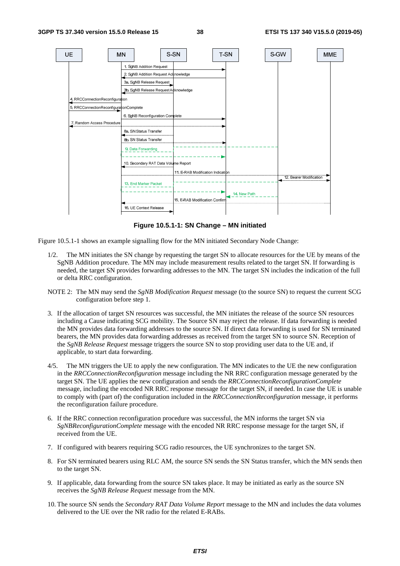

**Figure 10.5.1-1: SN Change – MN initiated** 

Figure 10.5.1-1 shows an example signalling flow for the MN initiated Secondary Node Change:

- 1/2. The MN initiates the SN change by requesting the target SN to allocate resources for the UE by means of the SgNB Addition procedure. The MN may include measurement results related to the target SN. If forwarding is needed, the target SN provides forwarding addresses to the MN. The target SN includes the indication of the full or delta RRC configuration.
- NOTE 2: The MN may send the *SgNB Modification Request* message (to the source SN) to request the current SCG configuration before step 1.
- 3. If the allocation of target SN resources was successful, the MN initiates the release of the source SN resources including a Cause indicating SCG mobility. The Source SN may reject the release. If data forwarding is needed the MN provides data forwarding addresses to the source SN. If direct data forwarding is used for SN terminated bearers, the MN provides data forwarding addresses as received from the target SN to source SN. Reception of the *SgNB Release Request* message triggers the source SN to stop providing user data to the UE and, if applicable, to start data forwarding.
- 4/5. The MN triggers the UE to apply the new configuration. The MN indicates to the UE the new configuration in the *RRCConnectionReconfiguration* message including the NR RRC configuration message generated by the target SN. The UE applies the new configuration and sends the *RRCConnectionReconfigurationComplete* message, including the encoded NR RRC response message for the target SN, if needed. In case the UE is unable to comply with (part of) the configuration included in the *RRCConnectionReconfiguration* message, it performs the reconfiguration failure procedure.
- 6. If the RRC connection reconfiguration procedure was successful, the MN informs the target SN via *SgNBReconfigurationComplete* message with the encoded NR RRC response message for the target SN, if received from the UE.
- 7. If configured with bearers requiring SCG radio resources, the UE synchronizes to the target SN.
- 8. For SN terminated bearers using RLC AM, the source SN sends the SN Status transfer, which the MN sends then to the target SN.
- 9. If applicable, data forwarding from the source SN takes place. It may be initiated as early as the source SN receives the *SgNB Release Request* message from the MN.
- 10. The source SN sends the *Secondary RAT Data Volume Report* message to the MN and includes the data volumes delivered to the UE over the NR radio for the related E-RABs.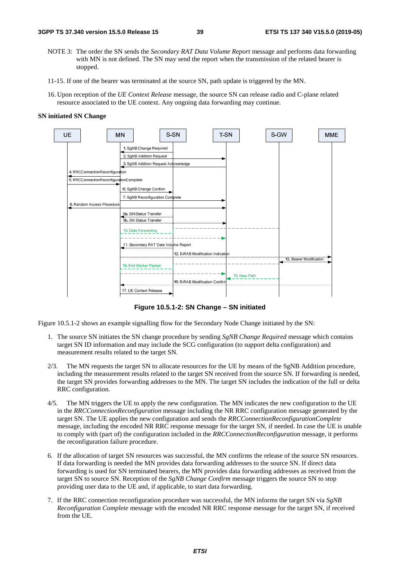- NOTE 3: The order the SN sends the *Secondary RAT Data Volume Report* message and performs data forwarding with MN is not defined. The SN may send the report when the transmission of the related bearer is stopped.
- 11-15. If one of the bearer was terminated at the source SN, path update is triggered by the MN.
- 16. Upon reception of the *UE Context Release* message, the source SN can release radio and C-plane related resource associated to the UE context. Any ongoing data forwarding may continue.

#### **SN initiated SN Change**



**Figure 10.5.1-2: SN Change – SN initiated** 

Figure 10.5.1-2 shows an example signalling flow for the Secondary Node Change initiated by the SN:

- 1. The source SN initiates the SN change procedure by sending *SgNB Change Required* message which contains target SN ID information and may include the SCG configuration (to support delta configuration) and measurement results related to the target SN.
- 2/3. The MN requests the target SN to allocate resources for the UE by means of the SgNB Addition procedure, including the measurement results related to the target SN received from the source SN. If forwarding is needed, the target SN provides forwarding addresses to the MN. The target SN includes the indication of the full or delta RRC configuration.
- 4/5. The MN triggers the UE to apply the new configuration. The MN indicates the new configuration to the UE in the *RRCConnectionReconfiguration* message including the NR RRC configuration message generated by the target SN. The UE applies the new configuration and sends the *RRCConnectionReconfigurationComplete* message, including the encoded NR RRC response message for the target SN, if needed. In case the UE is unable to comply with (part of) the configuration included in the *RRCConnectionReconfiguration* message, it performs the reconfiguration failure procedure.
- 6. If the allocation of target SN resources was successful, the MN confirms the release of the source SN resources. If data forwarding is needed the MN provides data forwarding addresses to the source SN. If direct data forwarding is used for SN terminated bearers, the MN provides data forwarding addresses as received from the target SN to source SN. Reception of the *SgNB Change Confirm* message triggers the source SN to stop providing user data to the UE and, if applicable, to start data forwarding.
- 7. If the RRC connection reconfiguration procedure was successful, the MN informs the target SN via *SgNB Reconfiguration Complete* message with the encoded NR RRC response message for the target SN, if received from the UE.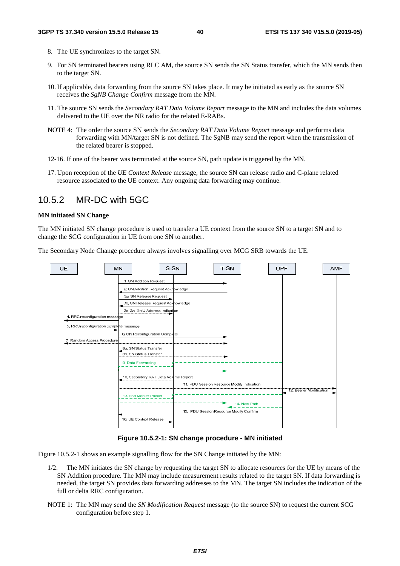- 8. The UE synchronizes to the target SN.
- 9. For SN terminated bearers using RLC AM, the source SN sends the SN Status transfer, which the MN sends then to the target SN.
- 10. If applicable, data forwarding from the source SN takes place. It may be initiated as early as the source SN receives the *SgNB Change Confirm* message from the MN.
- 11. The source SN sends the *Secondary RAT Data Volume Report* message to the MN and includes the data volumes delivered to the UE over the NR radio for the related E-RABs.
- NOTE 4: The order the source SN sends the *Secondary RAT Data Volume Report* message and performs data forwarding with MN/target SN is not defined. The SgNB may send the report when the transmission of the related bearer is stopped.
- 12-16. If one of the bearer was terminated at the source SN, path update is triggered by the MN.
- 17. Upon reception of the *UE Context Release* message, the source SN can release radio and C-plane related resource associated to the UE context. Any ongoing data forwarding may continue.

### 10.5.2 MR-DC with 5GC

#### **MN initiated SN Change**

The MN initiated SN change procedure is used to transfer a UE context from the source SN to a target SN and to change the SCG configuration in UE from one SN to another.

The Secondary Node Change procedure always involves signalling over MCG SRB towards the UE.



#### **Figure 10.5.2-1: SN change procedure - MN initiated**

Figure 10.5.2-1 shows an example signalling flow for the SN Change initiated by the MN:

- 1/2. The MN initiates the SN change by requesting the target SN to allocate resources for the UE by means of the SN Addition procedure. The MN may include measurement results related to the target SN. If data forwarding is needed, the target SN provides data forwarding addresses to the MN. The target SN includes the indication of the full or delta RRC configuration.
- NOTE 1: The MN may send the *SN Modification Request* message (to the source SN) to request the current SCG configuration before step 1.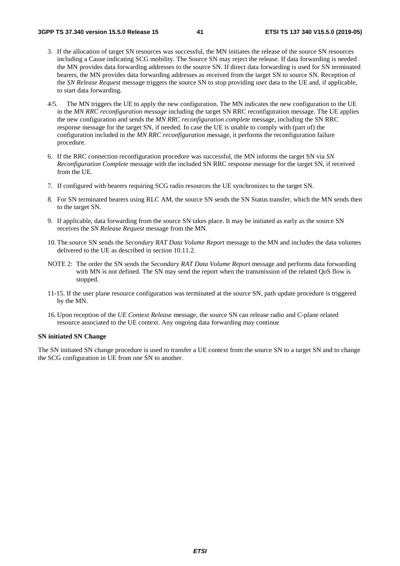- 3. If the allocation of target SN resources was successful, the MN initiates the release of the source SN resources including a Cause indicating SCG mobility. The Source SN may reject the release. If data forwarding is needed the MN provides data forwarding addresses to the source SN. If direct data forwarding is used for SN terminated bearers, the MN provides data forwarding addresses as received from the target SN to source SN. Reception of the *SN Release Request* message triggers the source SN to stop providing user data to the UE and, if applicable, to start data forwarding.
- 4/5. The MN triggers the UE to apply the new configuration. The MN indicates the new configuration to the UE in the *MN RRC reconfiguration message* including the target SN RRC reconfiguration message. The UE applies the new configuration and sends the *MN RRC reconfiguration complete* message, including the SN RRC response message for the target SN, if needed. In case the UE is unable to comply with (part of) the configuration included in the *MN RRC reconfiguration* message, it performs the reconfiguration failure procedure.
- 6. If the RRC connection reconfiguration procedure was successful, the MN informs the target SN via *SN Reconfiguration Complete* message with the included SN RRC response message for the target SN, if received from the UE.
- 7. If configured with bearers requiring SCG radio resources the UE synchronizes to the target SN.
- 8. For SN terminated bearers using RLC AM, the source SN sends the SN Status transfer, which the MN sends then to the target SN.
- 9. If applicable, data forwarding from the source SN takes place. It may be initiated as early as the source SN receives the *SN Release Request* message from the MN.
- 10. The source SN sends the *Secondary RAT Data Volume Report* message to the MN and includes the data volumes delivered to the UE as described in section 10.11.2.
- NOTE 2: The order the SN sends the *Secondary RAT Data Volume Report* message and performs data forwarding with MN is not defined. The SN may send the report when the transmission of the related OoS flow is stopped.
- 11-15. If the user plane resource configuration was terminated at the source SN, path update procedure is triggered by the MN.
- 16. Upon reception of the *UE Context Release* message, the source SN can release radio and C-plane related resource associated to the UE context. Any ongoing data forwarding may continue

#### **SN initiated SN Change**

The SN initiated SN change procedure is used to transfer a UE context from the source SN to a target SN and to change the SCG configuration in UE from one SN to another.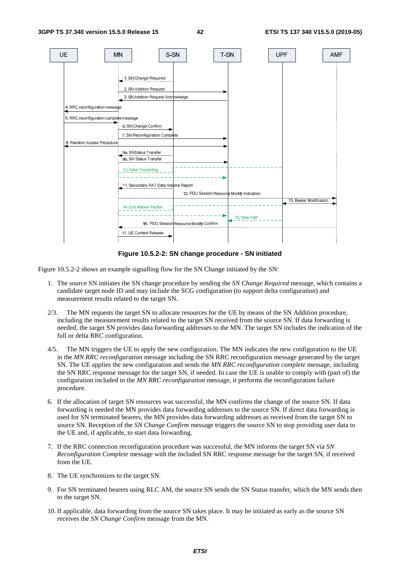

**Figure 10.5.2-2: SN change procedure - SN initiated** 

Figure 10.5.2-2 shows an example signalling flow for the SN Change initiated by the SN:

- 1. The source SN initiates the SN change procedure by sending the *SN Change Required* message, which contains a candidate target node ID and may include the SCG configuration (to support delta configuration) and measurement results related to the target SN.
- 2/3. The MN requests the target SN to allocate resources for the UE by means of the SN Addition procedure, including the measurement results related to the target SN received from the source SN. If data forwarding is needed, the target SN provides data forwarding addresses to the MN. The target SN includes the indication of the full or delta RRC configuration.
- 4/5. The MN triggers the UE to apply the new configuration. The MN indicates the new configuration to the UE in the *MN RRC reconfiguration* message including the SN RRC reconfiguration message generated by the target SN. The UE applies the new configuration and sends the *MN RRC reconfiguration complete* message, including the SN RRC response message for the target SN, if needed. In case the UE is unable to comply with (part of) the configuration included in the *MN RRC reconfiguration* message, it performs the reconfiguration failure procedure.
- 6. If the allocation of target SN resources was successful, the MN confirms the change of the source SN. If data forwarding is needed the MN provides data forwarding addresses to the source SN. If direct data forwarding is used for SN terminated bearers, the MN provides data forwarding addresses as received from the target SN to source SN. Reception of the *SN Change Confirm* message triggers the source SN to stop providing user data to the UE and, if applicable, to start data forwarding.
- 7. If the RRC connection reconfiguration procedure was successful, the MN informs the target SN via *SN Reconfiguration Complete* message with the included SN RRC response message for the target SN, if received from the UE.
- 8. The UE synchronizes to the target SN.
- 9. For SN terminated bearers using RLC AM, the source SN sends the SN Status transfer, which the MN sends then to the target SN.
- 10. If applicable, data forwarding from the source SN takes place. It may be initiated as early as the source SN receives the *SN Change Confirm* message from the MN.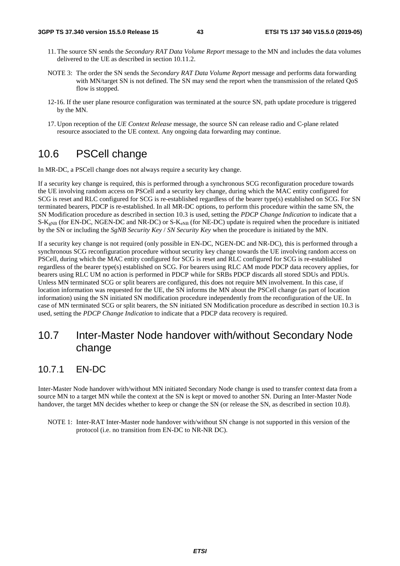- 11. The source SN sends the *Secondary RAT Data Volume Report* message to the MN and includes the data volumes delivered to the UE as described in section 10.11.2.
- NOTE 3: The order the SN sends the *Secondary RAT Data Volume Report* message and performs data forwarding with MN/target SN is not defined. The SN may send the report when the transmission of the related QoS flow is stopped.
- 12-16. If the user plane resource configuration was terminated at the source SN, path update procedure is triggered by the MN.
- 17. Upon reception of the *UE Context Release* message, the source SN can release radio and C-plane related resource associated to the UE context. Any ongoing data forwarding may continue.

### 10.6 PSCell change

In MR-DC, a PSCell change does not always require a security key change.

If a security key change is required, this is performed through a synchronous SCG reconfiguration procedure towards the UE involving random access on PSCell and a security key change, during which the MAC entity configured for SCG is reset and RLC configured for SCG is re-established regardless of the bearer type(s) established on SCG. For SN terminated bearers, PDCP is re-established. In all MR-DC options, to perform this procedure within the same SN, the SN Modification procedure as described in section 10.3 is used, setting the *PDCP Change Indication* to indicate that a S-K<sub>gNB</sub> (for EN-DC, NGEN-DC and NR-DC) or S-K<sub>eNB</sub> (for NE-DC) update is required when the procedure is initiated by the SN or including the *SgNB Security Key* / *SN Security Key* when the procedure is initiated by the MN.

If a security key change is not required (only possible in EN-DC, NGEN-DC and NR-DC), this is performed through a synchronous SCG reconfiguration procedure without security key change towards the UE involving random access on PSCell, during which the MAC entity configured for SCG is reset and RLC configured for SCG is re-established regardless of the bearer type(s) established on SCG. For bearers using RLC AM mode PDCP data recovery applies, for bearers using RLC UM no action is performed in PDCP while for SRBs PDCP discards all stored SDUs and PDUs. Unless MN terminated SCG or split bearers are configured, this does not require MN involvement. In this case, if location information was requested for the UE, the SN informs the MN about the PSCell change (as part of location information) using the SN initiated SN modification procedure independently from the reconfiguration of the UE. In case of MN terminated SCG or split bearers, the SN initiated SN Modification procedure as described in section 10.3 is used, setting the *PDCP Change Indication* to indicate that a PDCP data recovery is required.

### 10.7 Inter-Master Node handover with/without Secondary Node change

### 10.7.1 EN-DC

Inter-Master Node handover with/without MN initiated Secondary Node change is used to transfer context data from a source MN to a target MN while the context at the SN is kept or moved to another SN. During an Inter-Master Node handover, the target MN decides whether to keep or change the SN (or release the SN, as described in section 10.8).

NOTE 1: Inter-RAT Inter-Master node handover with/without SN change is not supported in this version of the protocol (i.e. no transition from EN-DC to NR-NR DC).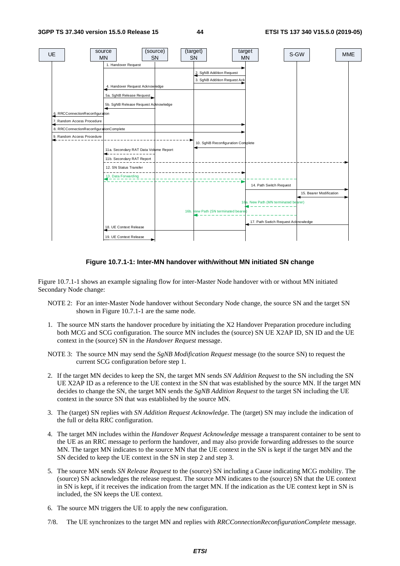

**Figure 10.7.1-1: Inter-MN handover with/without MN initiated SN change** 

Figure 10.7.1-1 shows an example signaling flow for inter-Master Node handover with or without MN initiated Secondary Node change:

- NOTE 2: For an inter-Master Node handover without Secondary Node change, the source SN and the target SN shown in Figure 10.7.1-1 are the same node.
- 1. The source MN starts the handover procedure by initiating the X2 Handover Preparation procedure including both MCG and SCG configuration. The source MN includes the (source) SN UE X2AP ID, SN ID and the UE context in the (source) SN in the *Handover Request* message.
- NOTE 3: The source MN may send the *SgNB Modification Request* message (to the source SN) to request the current SCG configuration before step 1.
- 2. If the target MN decides to keep the SN, the target MN sends *SN Addition Request* to the SN including the SN UE X2AP ID as a reference to the UE context in the SN that was established by the source MN. If the target MN decides to change the SN, the target MN sends the *SgNB Addition Request* to the target SN including the UE context in the source SN that was established by the source MN.
- 3. The (target) SN replies with *SN Addition Request Acknowledge*. The (target) SN may include the indication of the full or delta RRC configuration.
- 4. The target MN includes within the *Handover Request Acknowledge* message a transparent container to be sent to the UE as an RRC message to perform the handover, and may also provide forwarding addresses to the source MN. The target MN indicates to the source MN that the UE context in the SN is kept if the target MN and the SN decided to keep the UE context in the SN in step 2 and step 3.
- 5. The source MN sends *SN Release Request* to the (source) SN including a Cause indicating MCG mobility. The (source) SN acknowledges the release request. The source MN indicates to the (source) SN that the UE context in SN is kept, if it receives the indication from the target MN. If the indication as the UE context kept in SN is included, the SN keeps the UE context.
- 6. The source MN triggers the UE to apply the new configuration.
- 7/8. The UE synchronizes to the target MN and replies with *RRCConnectionReconfigurationComplete* message.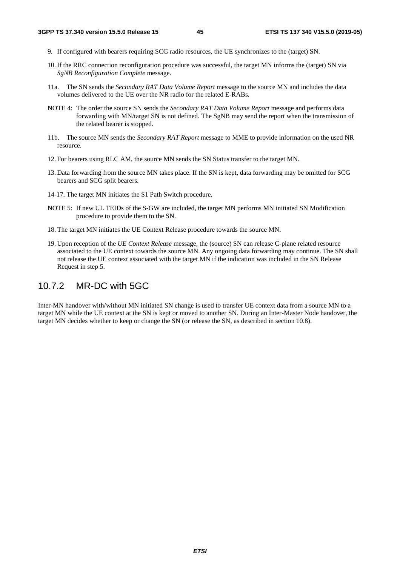- 9. If configured with bearers requiring SCG radio resources, the UE synchronizes to the (target) SN.
- 10. If the RRC connection reconfiguration procedure was successful, the target MN informs the (target) SN via *SgNB Reconfiguration Complete* message.
- 11a. The SN sends the *Secondary RAT Data Volume Report* message to the source MN and includes the data volumes delivered to the UE over the NR radio for the related E-RABs.
- NOTE 4: The order the source SN sends the *Secondary RAT Data Volume Report* message and performs data forwarding with MN/target SN is not defined. The SgNB may send the report when the transmission of the related bearer is stopped.
- 11b. The source MN sends the *Secondary RAT Report* message to MME to provide information on the used NR resource.
- 12. For bearers using RLC AM, the source MN sends the SN Status transfer to the target MN.
- 13. Data forwarding from the source MN takes place. If the SN is kept, data forwarding may be omitted for SCG bearers and SCG split bearers.
- 14-17. The target MN initiates the S1 Path Switch procedure.
- NOTE 5: If new UL TEIDs of the S-GW are included, the target MN performs MN initiated SN Modification procedure to provide them to the SN.
- 18. The target MN initiates the UE Context Release procedure towards the source MN.
- 19. Upon reception of the *UE Context Release* message, the (source) SN can release C-plane related resource associated to the UE context towards the source MN. Any ongoing data forwarding may continue. The SN shall not release the UE context associated with the target MN if the indication was included in the SN Release Request in step 5.

### 10.7.2 MR-DC with 5GC

Inter-MN handover with/without MN initiated SN change is used to transfer UE context data from a source MN to a target MN while the UE context at the SN is kept or moved to another SN. During an Inter-Master Node handover, the target MN decides whether to keep or change the SN (or release the SN, as described in section 10.8).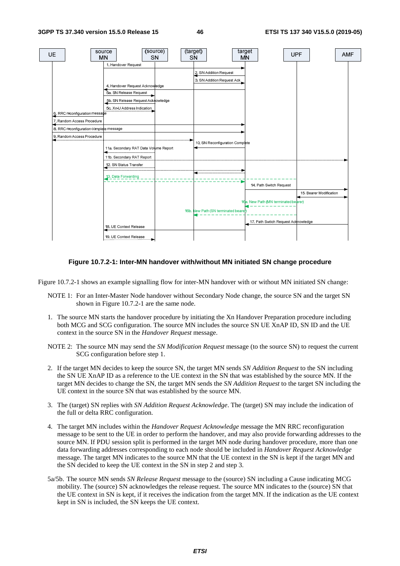

#### **Figure 10.7.2-1: Inter-MN handover with/without MN initiated SN change procedure**

Figure 10.7.2-1 shows an example signalling flow for inter-MN handover with or without MN initiated SN change:

- NOTE 1: For an Inter-Master Node handover without Secondary Node change, the source SN and the target SN shown in Figure 10.7.2-1 are the same node.
- 1. The source MN starts the handover procedure by initiating the Xn Handover Preparation procedure including both MCG and SCG configuration. The source MN includes the source SN UE XnAP ID, SN ID and the UE context in the source SN in the *Handover Request* message.
- NOTE 2: The source MN may send the *SN Modification Request* message (to the source SN) to request the current SCG configuration before step 1.
- 2. If the target MN decides to keep the source SN, the target MN sends *SN Addition Request* to the SN including the SN UE XnAP ID as a reference to the UE context in the SN that was established by the source MN. If the target MN decides to change the SN, the target MN sends the *SN Addition Request* to the target SN including the UE context in the source SN that was established by the source MN.
- 3. The (target) SN replies with *SN Addition Request Acknowledge*. The (target) SN may include the indication of the full or delta RRC configuration.
- 4. The target MN includes within the *Handover Request Acknowledge* message the MN RRC reconfiguration message to be sent to the UE in order to perform the handover, and may also provide forwarding addresses to the source MN. If PDU session split is performed in the target MN node during handover procedure, more than one data forwarding addresses corresponding to each node should be included in *Handover Request Acknowledge* message. The target MN indicates to the source MN that the UE context in the SN is kept if the target MN and the SN decided to keep the UE context in the SN in step 2 and step 3.
- 5a/5b. The source MN sends *SN Release Request* message to the (source) SN including a Cause indicating MCG mobility. The (source) SN acknowledges the release request. The source MN indicates to the (source) SN that the UE context in SN is kept, if it receives the indication from the target MN. If the indication as the UE context kept in SN is included, the SN keeps the UE context.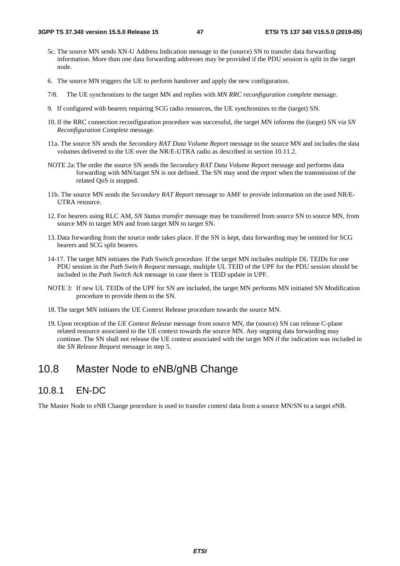- 5c. The source MN sends XN-U Address Indication message to the (source) SN to transfer data forwarding information. More than one data forwarding addresses may be provided if the PDU session is split in the target node.
- 6. The source MN triggers the UE to perform handover and apply the new configuration.
- 7/8. The UE synchronizes to the target MN and replies with *MN RRC reconfiguration complete* message.
- 9. If configured with bearers requiring SCG radio resources, the UE synchronizes to the (target) SN.
- 10. If the RRC connection reconfiguration procedure was successful, the target MN informs the (target) SN via *SN Reconfiguration Complete* message.
- 11a. The source SN sends the *Secondary RAT Data Volume Report* message to the source MN and includes the data volumes delivered to the UE over the NR/E-UTRA radio as described in section 10.11.2.
- NOTE 2a: The order the source SN sends the *Secondary RAT Data Volume Report* message and performs data forwarding with MN/target SN is not defined. The SN may send the report when the transmission of the related QoS is stopped.
- 11b. The source MN sends the *Secondary RAT Report* message to AMF to provide information on the used NR/E-UTRA resource.
- 12. For bearers using RLC AM, *SN Status transfer* message may be transferred from source SN to source MN, from source MN to target MN and from target MN to target SN.
- 13. Data forwarding from the source node takes place. If the SN is kept, data forwarding may be omitted for SCG bearers and SCG split bearers.
- 14-17. The target MN initiates the Path Switch procedure*.* If the target MN includes multiple DL TEIDs for one PDU session in the *Path Switch Request* message, multiple UL TEID of the UPF for the PDU session should be included in the *Path Switch Ack* message in case there is TEID update in UPF.
- NOTE 3: If new UL TEIDs of the UPF for SN are included, the target MN performs MN initiated SN Modification procedure to provide them to the SN.
- 18. The target MN initiates the UE Context Release procedure towards the source MN.
- 19. Upon reception of the *UE Context Release* message from source MN, the (source) SN can release C-plane related resource associated to the UE context towards the source MN. Any ongoing data forwarding may continue. The SN shall not release the UE context associated with the target MN if the indication was included in the *SN Release Request* message in step 5.

### 10.8 Master Node to eNB/gNB Change

### 10.8.1 EN-DC

The Master Node to eNB Change procedure is used to transfer context data from a source MN/SN to a target eNB.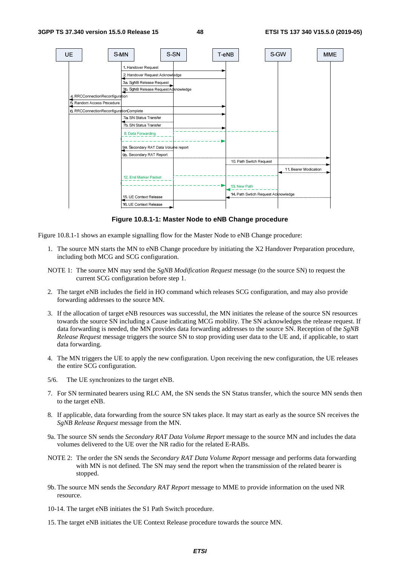

**Figure 10.8.1-1: Master Node to eNB Change procedure** 

Figure 10.8.1-1 shows an example signalling flow for the Master Node to eNB Change procedure:

- 1. The source MN starts the MN to eNB Change procedure by initiating the X2 Handover Preparation procedure, including both MCG and SCG configuration.
- NOTE 1: The source MN may send the *SgNB Modification Request* message (to the source SN) to request the current SCG configuration before step 1.
- 2. The target eNB includes the field in HO command which releases SCG configuration, and may also provide forwarding addresses to the source MN.
- 3. If the allocation of target eNB resources was successful, the MN initiates the release of the source SN resources towards the source SN including a Cause indicating MCG mobility. The SN acknowledges the release request. If data forwarding is needed, the MN provides data forwarding addresses to the source SN. Reception of the *SgNB Release Request* message triggers the source SN to stop providing user data to the UE and, if applicable, to start data forwarding.
- 4. The MN triggers the UE to apply the new configuration. Upon receiving the new configuration, the UE releases the entire SCG configuration.
- 5/6. The UE synchronizes to the target eNB.
- 7. For SN terminated bearers using RLC AM, the SN sends the SN Status transfer, which the source MN sends then to the target eNB.
- 8. If applicable, data forwarding from the source SN takes place. It may start as early as the source SN receives the *SgNB Release Request* message from the MN.
- 9a. The source SN sends the *Secondary RAT Data Volume Report* message to the source MN and includes the data volumes delivered to the UE over the NR radio for the related E-RABs.
- NOTE 2: The order the SN sends the *Secondary RAT Data Volume Report* message and performs data forwarding with MN is not defined. The SN may send the report when the transmission of the related bearer is stopped.
- 9b. The source MN sends the *Secondary RAT Report* message to MME to provide information on the used NR resource.
- 10-14. The target eNB initiates the S1 Path Switch procedure.
- 15. The target eNB initiates the UE Context Release procedure towards the source MN.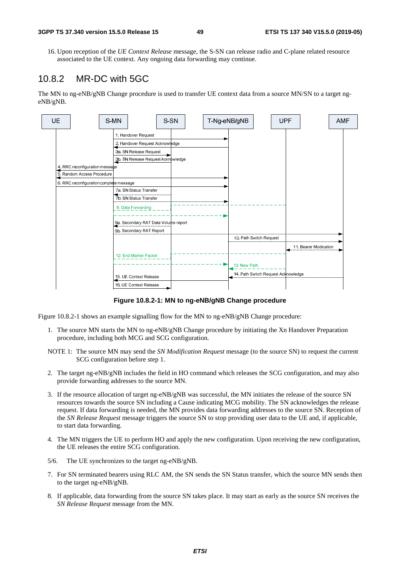16. Upon reception of the *UE Context Release* message, the S-SN can release radio and C-plane related resource associated to the UE context. Any ongoing data forwarding may continue.

### 10.8.2 MR-DC with 5GC

The MN to ng-eNB/gNB Change procedure is used to transfer UE context data from a source MN/SN to a target ngeNB/gNB.



**Figure 10.8.2-1: MN to ng-eNB/gNB Change procedure** 

Figure 10.8.2-1 shows an example signalling flow for the MN to ng-eNB/gNB Change procedure:

- 1. The source MN starts the MN to ng-eNB/gNB Change procedure by initiating the Xn Handover Preparation procedure, including both MCG and SCG configuration.
- NOTE 1: The source MN may send the *SN Modification Request* message (to the source SN) to request the current SCG configuration before step 1.
- 2. The target ng-eNB/gNB includes the field in HO command which releases the SCG configuration, and may also provide forwarding addresses to the source MN.
- 3. If the resource allocation of target ng-eNB/gNB was successful, the MN initiates the release of the source SN resources towards the source SN including a Cause indicating MCG mobility. The SN acknowledges the release request. If data forwarding is needed, the MN provides data forwarding addresses to the source SN. Reception of the *SN Release Request* message triggers the source SN to stop providing user data to the UE and, if applicable, to start data forwarding.
- 4. The MN triggers the UE to perform HO and apply the new configuration. Upon receiving the new configuration, the UE releases the entire SCG configuration.
- 5/6. The UE synchronizes to the target ng-eNB/gNB.
- 7. For SN terminated bearers using RLC AM, the SN sends the SN Status transfer, which the source MN sends then to the target ng-eNB/gNB.
- 8. If applicable, data forwarding from the source SN takes place. It may start as early as the source SN receives the *SN Release Request* message from the MN.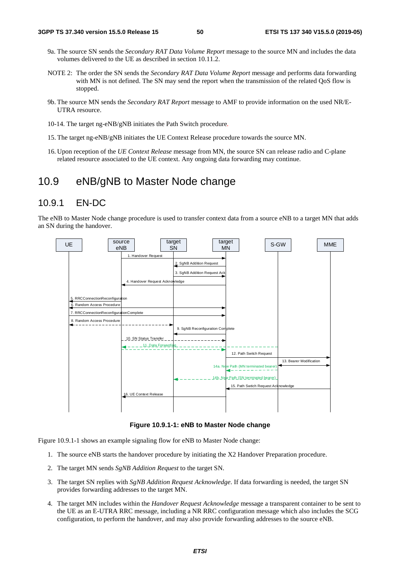- 9a. The source SN sends the *Secondary RAT Data Volume Report* message to the source MN and includes the data volumes delivered to the UE as described in section 10.11.2.
- NOTE 2: The order the SN sends the *Secondary RAT Data Volume Report* message and performs data forwarding with MN is not defined. The SN may send the report when the transmission of the related QoS flow is stopped.
- 9b. The source MN sends the *Secondary RAT Report* message to AMF to provide information on the used NR/E-UTRA resource.
- 10-14. The target ng-eNB/gNB initiates the Path Switch procedure*.*
- 15. The target ng-eNB/gNB initiates the UE Context Release procedure towards the source MN.
- 16. Upon reception of the *UE Context Release* message from MN, the source SN can release radio and C-plane related resource associated to the UE context. Any ongoing data forwarding may continue.

### 10.9 eNB/gNB to Master Node change

### 10.9.1 EN-DC

The eNB to Master Node change procedure is used to transfer context data from a source eNB to a target MN that adds an SN during the handover.



#### **Figure 10.9.1-1: eNB to Master Node change**

Figure 10.9.1-1 shows an example signaling flow for eNB to Master Node change:

- 1. The source eNB starts the handover procedure by initiating the X2 Handover Preparation procedure.
- 2. The target MN sends *SgNB Addition Request* to the target SN.
- 3. The target SN replies with *SgNB Addition Request Acknowledge*. If data forwarding is needed, the target SN provides forwarding addresses to the target MN.
- 4. The target MN includes within the *Handover Request Acknowledge* message a transparent container to be sent to the UE as an E-UTRA RRC message, including a NR RRC configuration message which also includes the SCG configuration, to perform the handover, and may also provide forwarding addresses to the source eNB.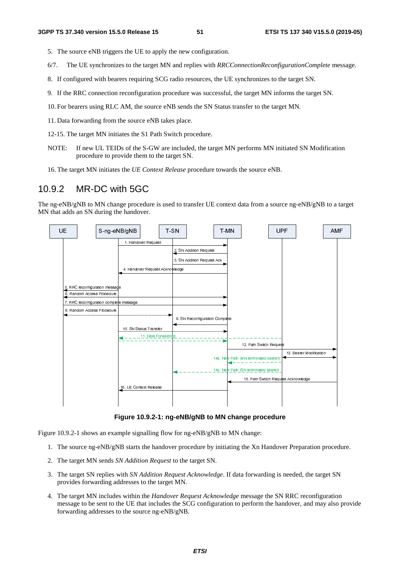- 5. The source eNB triggers the UE to apply the new configuration.
- 6/7. The UE synchronizes to the target MN and replies with *RRCConnectionReconfigurationComplete* message.
- 8. If configured with bearers requiring SCG radio resources, the UE synchronizes to the target SN.
- 9. If the RRC connection reconfiguration procedure was successful, the target MN informs the target SN.
- 10. For bearers using RLC AM, the source eNB sends the SN Status transfer to the target MN.
- 11. Data forwarding from the source eNB takes place.
- 12-15. The target MN initiates the S1 Path Switch procedure.
- NOTE: If new UL TEIDs of the S-GW are included, the target MN performs MN initiated SN Modification procedure to provide them to the target SN.
- 16. The target MN initiates the *UE Context Release* procedure towards the source eNB.

### 10.9.2 MR-DC with 5GC

The ng-eNB/gNB to MN change procedure is used to transfer UE context data from a source ng-eNB/gNB to a target MN that adds an SN during the handover.



**Figure 10.9.2-1: ng-eNB/gNB to MN change procedure** 

Figure 10.9.2-1 shows an example signalling flow for ng-eNB/gNB to MN change:

- 1. The source ng-eNB/gNB starts the handover procedure by initiating the Xn Handover Preparation procedure.
- 2. The target MN sends *SN Addition Request* to the target SN.
- 3. The target SN replies with *SN Addition Request Acknowledge*. If data forwarding is needed, the target SN provides forwarding addresses to the target MN.
- 4. The target MN includes within the *Handover Request Acknowledge* message the SN RRC reconfiguration message to be sent to the UE that includes the SCG configuration to perform the handover, and may also provide forwarding addresses to the source ng-eNB/gNB.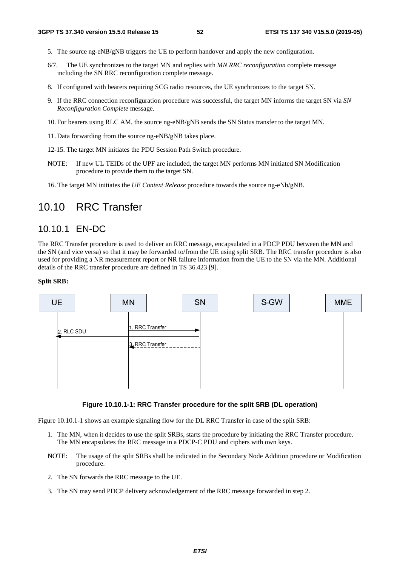- 5. The source ng-eNB/gNB triggers the UE to perform handover and apply the new configuration.
- 6/7. The UE synchronizes to the target MN and replies with *MN RRC reconfiguration* complete message including the SN RRC reconfiguration complete message.
- 8. If configured with bearers requiring SCG radio resources, the UE synchronizes to the target SN.
- 9. If the RRC connection reconfiguration procedure was successful, the target MN informs the target SN via *SN Reconfiguration Complete* message.
- 10. For bearers using RLC AM, the source ng-eNB/gNB sends the SN Status transfer to the target MN.
- 11. Data forwarding from the source ng-eNB/gNB takes place.
- 12-15. The target MN initiates the PDU Session Path Switch procedure.
- NOTE: If new UL TEIDs of the UPF are included, the target MN performs MN initiated SN Modification procedure to provide them to the target SN.
- 16. The target MN initiates the *UE Context Release* procedure towards the source ng-eNb/gNB.

### 10.10 RRC Transfer

### 10.10.1 EN-DC

The RRC Transfer procedure is used to deliver an RRC message, encapsulated in a PDCP PDU between the MN and the SN (and vice versa) so that it may be forwarded to/from the UE using split SRB. The RRC transfer procedure is also used for providing a NR measurement report or NR failure information from the UE to the SN via the MN. Additional details of the RRC transfer procedure are defined in TS 36.423 [9].

#### **Split SRB:**



#### **Figure 10.10.1-1: RRC Transfer procedure for the split SRB (DL operation)**

Figure 10.10.1-1 shows an example signaling flow for the DL RRC Transfer in case of the split SRB:

- 1. The MN, when it decides to use the split SRBs, starts the procedure by initiating the RRC Transfer procedure. The MN encapsulates the RRC message in a PDCP-C PDU and ciphers with own keys.
- NOTE: The usage of the split SRBs shall be indicated in the Secondary Node Addition procedure or Modification procedure.
- 2. The SN forwards the RRC message to the UE.
- 3. The SN may send PDCP delivery acknowledgement of the RRC message forwarded in step 2.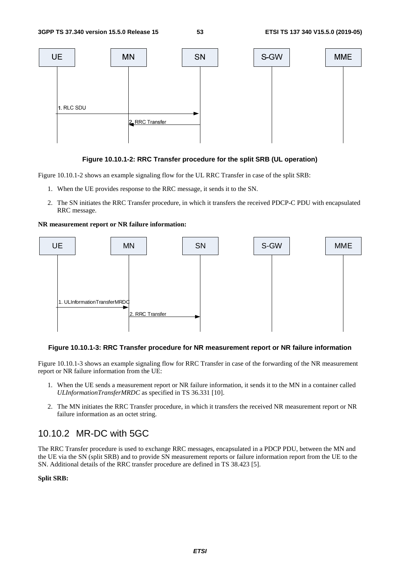

#### **Figure 10.10.1-2: RRC Transfer procedure for the split SRB (UL operation)**

Figure 10.10.1-2 shows an example signaling flow for the UL RRC Transfer in case of the split SRB:

- 1. When the UE provides response to the RRC message, it sends it to the SN.
- 2. The SN initiates the RRC Transfer procedure, in which it transfers the received PDCP-C PDU with encapsulated RRC message.

**NR measurement report or NR failure information:** 



#### **Figure 10.10.1-3: RRC Transfer procedure for NR measurement report or NR failure information**

Figure 10.10.1-3 shows an example signaling flow for RRC Transfer in case of the forwarding of the NR measurement report or NR failure information from the UE:

- 1. When the UE sends a measurement report or NR failure information, it sends it to the MN in a container called *ULInformationTransferMRDC* as specified in TS 36.331 [10].
- 2. The MN initiates the RRC Transfer procedure, in which it transfers the received NR measurement report or NR failure information as an octet string.

### 10.10.2 MR-DC with 5GC

The RRC Transfer procedure is used to exchange RRC messages, encapsulated in a PDCP PDU, between the MN and the UE via the SN (split SRB) and to provide SN measurement reports or failure information report from the UE to the SN. Additional details of the RRC transfer procedure are defined in TS 38.423 [5].

#### **Split SRB:**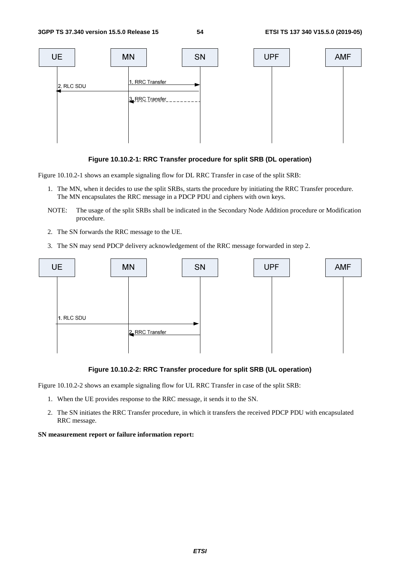

#### **Figure 10.10.2-1: RRC Transfer procedure for split SRB (DL operation)**

Figure 10.10.2-1 shows an example signaling flow for DL RRC Transfer in case of the split SRB:

- 1. The MN, when it decides to use the split SRBs, starts the procedure by initiating the RRC Transfer procedure. The MN encapsulates the RRC message in a PDCP PDU and ciphers with own keys.
- NOTE: The usage of the split SRBs shall be indicated in the Secondary Node Addition procedure or Modification procedure.
- 2. The SN forwards the RRC message to the UE.
- 3. The SN may send PDCP delivery acknowledgement of the RRC message forwarded in step 2.



#### **Figure 10.10.2-2: RRC Transfer procedure for split SRB (UL operation)**

Figure 10.10.2-2 shows an example signaling flow for UL RRC Transfer in case of the split SRB:

- 1. When the UE provides response to the RRC message, it sends it to the SN.
- 2. The SN initiates the RRC Transfer procedure, in which it transfers the received PDCP PDU with encapsulated RRC message.

#### **SN measurement report or failure information report:**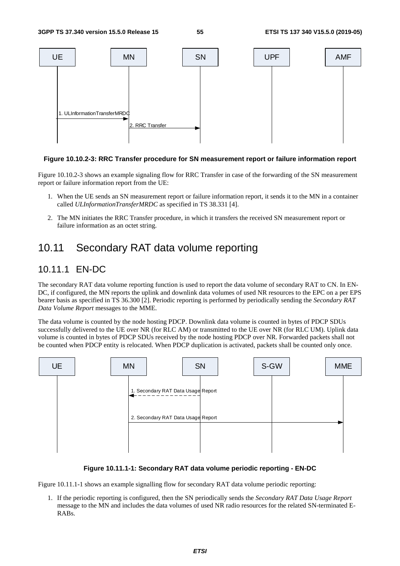

#### **Figure 10.10.2-3: RRC Transfer procedure for SN measurement report or failure information report**

Figure 10.10.2-3 shows an example signaling flow for RRC Transfer in case of the forwarding of the SN measurement report or failure information report from the UE:

- 1. When the UE sends an SN measurement report or failure information report, it sends it to the MN in a container called *ULInformationTransferMRDC* as specified in TS 38.331 [4].
- 2. The MN initiates the RRC Transfer procedure, in which it transfers the received SN measurement report or failure information as an octet string.

### 10.11 Secondary RAT data volume reporting

### 10.11.1 EN-DC

The secondary RAT data volume reporting function is used to report the data volume of secondary RAT to CN. In EN-DC, if configured, the MN reports the uplink and downlink data volumes of used NR resources to the EPC on a per EPS bearer basis as specified in TS 36.300 [2]. Periodic reporting is performed by periodically sending the *Secondary RAT Data Volume Report* messages to the MME.

The data volume is counted by the node hosting PDCP. Downlink data volume is counted in bytes of PDCP SDUs successfully delivered to the UE over NR (for RLC AM) or transmitted to the UE over NR (for RLC UM). Uplink data volume is counted in bytes of PDCP SDUs received by the node hosting PDCP over NR. Forwarded packets shall not be counted when PDCP entity is relocated. When PDCP duplication is activated, packets shall be counted only once.



#### **Figure 10.11.1-1: Secondary RAT data volume periodic reporting - EN-DC**

Figure 10.11.1-1 shows an example signalling flow for secondary RAT data volume periodic reporting:

1. If the periodic reporting is configured, then the SN periodically sends the *Secondary RAT Data Usage Report* message to the MN and includes the data volumes of used NR radio resources for the related SN-terminated E-RABs.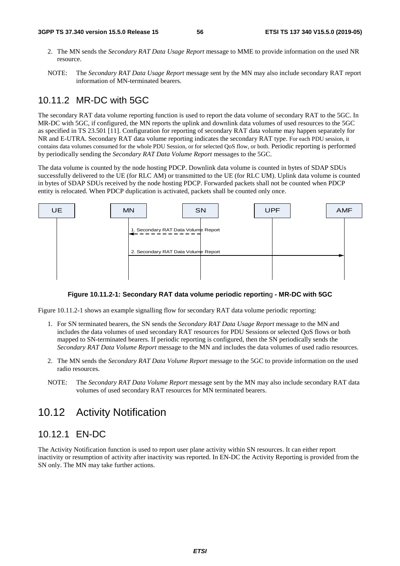- 2. The MN sends the *Secondary RAT Data Usage Report* message to MME to provide information on the used NR resource.
- NOTE: The *Secondary RAT Data Usage Report* message sent by the MN may also include secondary RAT report information of MN-terminated bearers.

### 10.11.2 MR-DC with 5GC

The secondary RAT data volume reporting function is used to report the data volume of secondary RAT to the 5GC. In MR-DC with 5GC, if configured, the MN reports the uplink and downlink data volumes of used resources to the 5GC as specified in TS 23.501 [11]. Configuration for reporting of secondary RAT data volume may happen separately for NR and E-UTRA. Secondary RAT data volume reporting indicates the secondary RAT type. For each PDU session, it contains data volumes consumed for the whole PDU Session, or for selected QoS flow, or both. Periodic reporting is performed by periodically sending the *Secondary RAT Data Volume Report* messages to the 5GC.

The data volume is counted by the node hosting PDCP. Downlink data volume is counted in bytes of SDAP SDUs successfully delivered to the UE (for RLC AM) or transmitted to the UE (for RLC UM). Uplink data volume is counted in bytes of SDAP SDUs received by the node hosting PDCP. Forwarded packets shall not be counted when PDCP entity is relocated. When PDCP duplication is activated, packets shall be counted only once.



#### **Figure 10.11.2-1: Secondary RAT data volume periodic reportin**g **- MR-DC with 5GC**

Figure 10.11.2-1 shows an example signalling flow for secondary RAT data volume periodic reporting:

- 1. For SN terminated bearers, the SN sends the *Secondary RAT Data Usage Report* message to the MN and includes the data volumes of used secondary RAT resources for PDU Sessions or selected QoS flows or both mapped to SN-terminated bearers. If periodic reporting is configured, then the SN periodically sends the *Secondary RAT Data Volume Report* message to the MN and includes the data volumes of used radio resources.
- 2. The MN sends the *Secondary RAT Data Volume Report* message to the 5GC to provide information on the used radio resources.
- NOTE: The *Secondary RAT Data Volume Report* message sent by the MN may also include secondary RAT data volumes of used secondary RAT resources for MN terminated bearers.

### 10.12 Activity Notification

### 10.12.1 EN-DC

The Activity Notification function is used to report user plane activity within SN resources. It can either report inactivity or resumption of activity after inactivity was reported. In EN-DC the Activity Reporting is provided from the SN only. The MN may take further actions.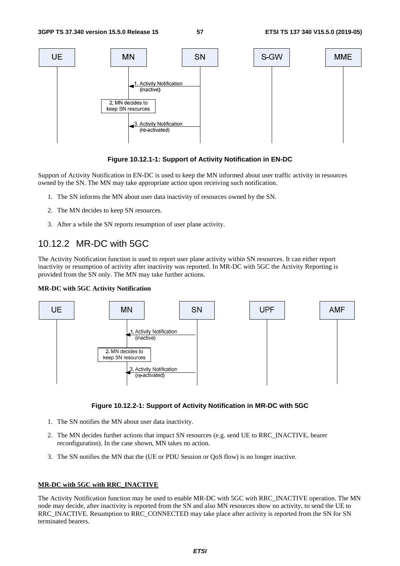

#### **Figure 10.12.1-1: Support of Activity Notification in EN-DC**

Support of Activity Notification in EN-DC is used to keep the MN informed about user traffic activity in resources owned by the SN. The MN may take appropriate action upon receiving such notification.

- 1. The SN informs the MN about user data inactivity of resources owned by the SN.
- 2. The MN decides to keep SN resources.
- 3. After a while the SN reports resumption of user plane activity.

### 10.12.2 MR-DC with 5GC

The Activity Notification function is used to report user plane activity within SN resources. It can either report inactivity or resumption of activity after inactivity was reported. In MR-DC with 5GC the Activity Reporting is provided from the SN only. The MN may take further actions.

#### **MR-DC with 5GC Activity Notification**



#### **Figure 10.12.2-1: Support of Activity Notification in MR-DC with 5GC**

- 1. The SN notifies the MN about user data inactivity.
- 2. The MN decides further actions that impact SN resources (e.g. send UE to RRC\_INACTIVE, bearer reconfiguration). In the case shown, MN takes no action.
- 3. The SN notifies the MN that the (UE or PDU Session or QoS flow) is no longer inactive.

#### **MR-DC with 5GC with RRC\_INACTIVE**

The Activity Notification function may be used to enable MR-DC with 5GC with RRC\_INACTIVE operation. The MN node may decide, after inactivity is reported from the SN and also MN resources show no activity, to send the UE to RRC\_INACTIVE. Resumption to RRC\_CONNECTED may take place after activity is reported from the SN for SN terminated bearers.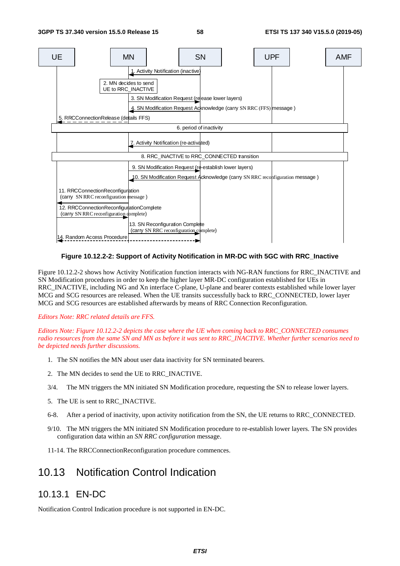

#### **Figure 10.12.2-2: Support of Activity Notification in MR-DC with 5GC with RRC\_Inactive**

Figure 10.12.2-2 shows how Activity Notification function interacts with NG-RAN functions for RRC\_INACTIVE and SN Modification procedures in order to keep the higher layer MR-DC configuration established for UEs in RRC\_INACTIVE, including NG and Xn interface C-plane, U-plane and bearer contexts established while lower layer MCG and SCG resources are released. When the UE transits successfully back to RRC\_CONNECTED, lower layer MCG and SCG resources are established afterwards by means of RRC Connection Reconfiguration.

#### *Editors Note: RRC related details are FFS.*

*Editors Note: Figure 10.12.2-2 depicts the case where the UE when coming back to RRC\_CONNECTED consumes radio resources from the same SN and MN as before it was sent to RRC\_INACTIVE. Whether further scenarios need to be depicted needs further discussions.* 

- 1. The SN notifies the MN about user data inactivity for SN terminated bearers.
- 2. The MN decides to send the UE to RRC\_INACTIVE.
- 3/4. The MN triggers the MN initiated SN Modification procedure, requesting the SN to release lower layers.
- 5. The UE is sent to RRC\_INACTIVE.
- 6-8. After a period of inactivity, upon activity notification from the SN, the UE returns to RRC\_CONNECTED.
- 9/10. The MN triggers the MN initiated SN Modification procedure to re-establish lower layers. The SN provides configuration data within an *SN RRC configuration* message.
- 11-14. The RRCConnectionReconfiguration procedure commences.

### 10.13 Notification Control Indication

### 10.13.1 EN-DC

Notification Control Indication procedure is not supported in EN-DC.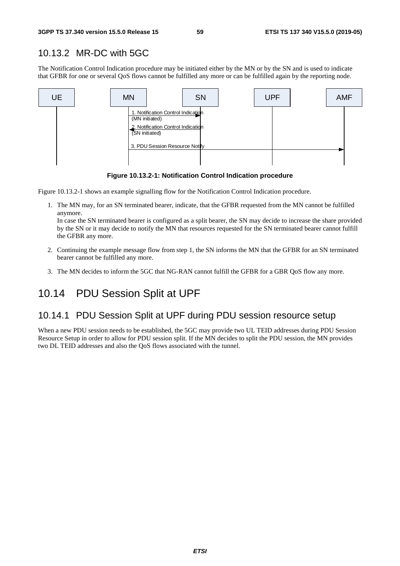### 10.13.2 MR-DC with 5GC

The Notification Control Indication procedure may be initiated either by the MN or by the SN and is used to indicate that GFBR for one or several QoS flows cannot be fulfilled any more or can be fulfilled again by the reporting node.



**Figure 10.13.2-1: Notification Control Indication procedure** 

Figure 10.13.2-1 shows an example signalling flow for the Notification Control Indication procedure.

1. The MN may, for an SN terminated bearer, indicate, that the GFBR requested from the MN cannot be fulfilled anymore.

In case the SN terminated bearer is configured as a split bearer, the SN may decide to increase the share provided by the SN or it may decide to notify the MN that resources requested for the SN terminated bearer cannot fulfill the GFBR any more.

- 2. Continuing the example message flow from step 1, the SN informs the MN that the GFBR for an SN terminated bearer cannot be fulfilled any more.
- 3. The MN decides to inform the 5GC that NG-RAN cannot fulfill the GFBR for a GBR QoS flow any more.

# 10.14 PDU Session Split at UPF

### 10.14.1 PDU Session Split at UPF during PDU session resource setup

When a new PDU session needs to be established, the 5GC may provide two UL TEID addresses during PDU Session Resource Setup in order to allow for PDU session split. If the MN decides to split the PDU session, the MN provides two DL TEID addresses and also the QoS flows associated with the tunnel.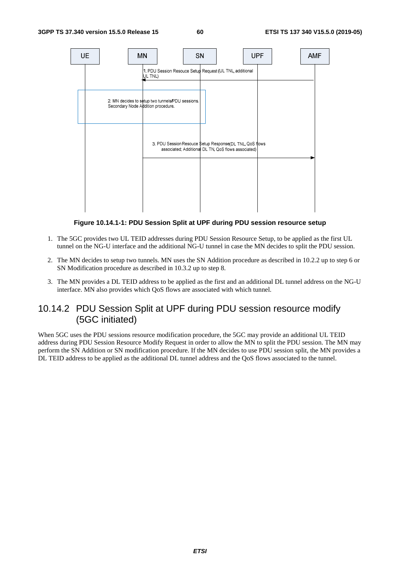

**Figure 10.14.1-1: PDU Session Split at UPF during PDU session resource setup** 

- 1. The 5GC provides two UL TEID addresses during PDU Session Resource Setup, to be applied as the first UL tunnel on the NG-U interface and the additional NG-U tunnel in case the MN decides to split the PDU session.
- 2. The MN decides to setup two tunnels. MN uses the SN Addition procedure as described in 10.2.2 up to step 6 or SN Modification procedure as described in 10.3.2 up to step 8.
- 3. The MN provides a DL TEID address to be applied as the first and an additional DL tunnel address on the NG-U interface. MN also provides which QoS flows are associated with which tunnel.

### 10.14.2 PDU Session Split at UPF during PDU session resource modify (5GC initiated)

When 5GC uses the PDU sessions resource modification procedure, the 5GC may provide an additional UL TEID address during PDU Session Resource Modify Request in order to allow the MN to split the PDU session. The MN may perform the SN Addition or SN modification procedure. If the MN decides to use PDU session split, the MN provides a DL TEID address to be applied as the additional DL tunnel address and the QoS flows associated to the tunnel.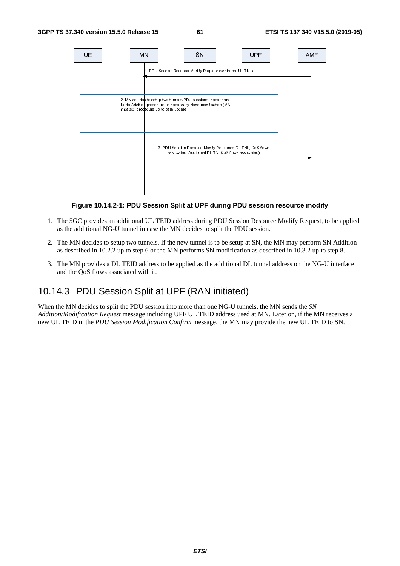

**Figure 10.14.2-1: PDU Session Split at UPF during PDU session resource modify** 

- 1. The 5GC provides an additional UL TEID address during PDU Session Resource Modify Request, to be applied as the additional NG-U tunnel in case the MN decides to split the PDU session.
- 2. The MN decides to setup two tunnels. If the new tunnel is to be setup at SN, the MN may perform SN Addition as described in 10.2.2 up to step 6 or the MN performs SN modification as described in 10.3.2 up to step 8.
- 3. The MN provides a DL TEID address to be applied as the additional DL tunnel address on the NG-U interface and the QoS flows associated with it.

### 10.14.3 PDU Session Split at UPF (RAN initiated)

When the MN decides to split the PDU session into more than one NG-U tunnels, the MN sends the *SN Addition/Modification Request* message including UPF UL TEID address used at MN. Later on, if the MN receives a new UL TEID in the *PDU Session Modification Confirm* message, the MN may provide the new UL TEID to SN.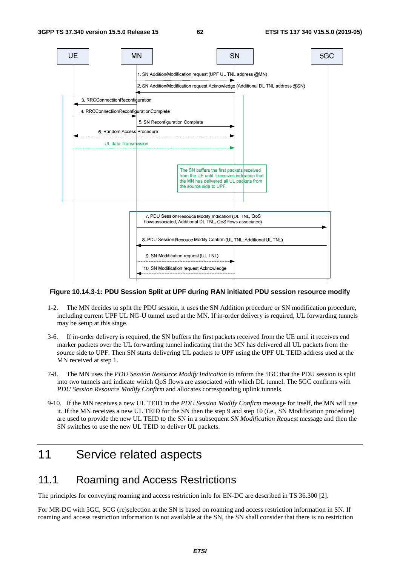

#### **Figure 10.14.3-1: PDU Session Split at UPF during RAN initiated PDU session resource modify**

- 1-2. The MN decides to split the PDU session, it uses the SN Addition procedure or SN modification procedure, including current UPF UL NG-U tunnel used at the MN. If in-order delivery is required, UL forwarding tunnels may be setup at this stage.
- 3-6. If in-order delivery is required, the SN buffers the first packets received from the UE until it receives end marker packets over the UL forwarding tunnel indicating that the MN has delivered all UL packets from the source side to UPF. Then SN starts delivering UL packets to UPF using the UPF UL TEID address used at the MN received at step 1.
- 7-8. The MN uses the *PDU Session Resource Modify Indication* to inform the 5GC that the PDU session is split into two tunnels and indicate which QoS flows are associated with which DL tunnel. The 5GC confirms with *PDU Session Resource Modify Confirm* and allocates corresponding uplink tunnels.
- 9-10. If the MN receives a new UL TEID in the *PDU Session Modify Confirm* message for itself, the MN will use it. If the MN receives a new UL TEID for the SN then the step 9 and step 10 (i.e., SN Modification procedure) are used to provide the new UL TEID to the SN in a subsequent *SN Modification Request* message and then the SN switches to use the new UL TEID to deliver UL packets.

# 11 Service related aspects

### 11.1 Roaming and Access Restrictions

The principles for conveying roaming and access restriction info for EN-DC are described in TS 36.300 [2].

For MR-DC with 5GC, SCG (re)selection at the SN is based on roaming and access restriction information in SN. If roaming and access restriction information is not available at the SN, the SN shall consider that there is no restriction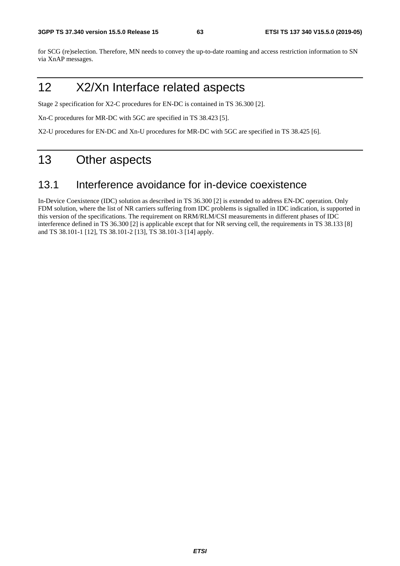for SCG (re)selection. Therefore, MN needs to convey the up-to-date roaming and access restriction information to SN via XnAP messages.

# 12 X2/Xn Interface related aspects

Stage 2 specification for X2-C procedures for EN-DC is contained in TS 36.300 [2].

Xn-C procedures for MR-DC with 5GC are specified in TS 38.423 [5].

X2-U procedures for EN-DC and Xn-U procedures for MR-DC with 5GC are specified in TS 38.425 [6].

# 13 Other aspects

### 13.1 Interference avoidance for in-device coexistence

In-Device Coexistence (IDC) solution as described in TS 36.300 [2] is extended to address EN-DC operation. Only FDM solution, where the list of NR carriers suffering from IDC problems is signalled in IDC indication, is supported in this version of the specifications. The requirement on RRM/RLM/CSI measurements in different phases of IDC interference defined in TS 36.300 [2] is applicable except that for NR serving cell, the requirements in TS 38.133 [8] and TS 38.101-1 [12], TS 38.101-2 [13], TS 38.101-3 [14] apply.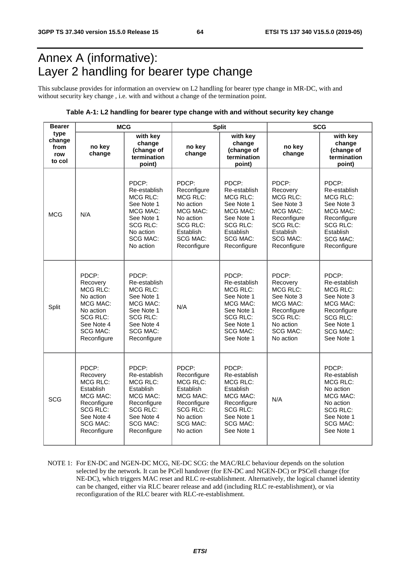# Annex A (informative): Layer 2 handling for bearer type change

This subclause provides for information an overview on L2 handling for bearer type change in MR-DC, with and without security key change , i.e. with and without a change of the termination point.

#### **Table A-1: L2 handling for bearer type change with and without security key change**

| <b>Bearer</b>                           | <b>MCG</b>                                                                                                                               |                                                                                                                                                            |                                                                                                                                                 | <b>Split</b>                                                                                                                                       | <b>SCG</b>                                                                                                                                    |                                                                                                                                                         |  |
|-----------------------------------------|------------------------------------------------------------------------------------------------------------------------------------------|------------------------------------------------------------------------------------------------------------------------------------------------------------|-------------------------------------------------------------------------------------------------------------------------------------------------|----------------------------------------------------------------------------------------------------------------------------------------------------|-----------------------------------------------------------------------------------------------------------------------------------------------|---------------------------------------------------------------------------------------------------------------------------------------------------------|--|
| type<br>change<br>from<br>row<br>to col | no key<br>change                                                                                                                         | with key<br>change<br>(change of<br>termination<br>point)                                                                                                  | no key<br>change                                                                                                                                | with key<br>change<br>(change of<br>termination<br>point)                                                                                          | no key<br>change                                                                                                                              | with key<br>change<br>(change of<br>termination<br>point)                                                                                               |  |
| <b>MCG</b>                              | N/A                                                                                                                                      | PDCP:<br>Re-establish<br><b>MCG RLC:</b><br>See Note 1<br><b>MCG MAC:</b><br>See Note 1<br><b>SCG RLC:</b><br>No action<br><b>SCG MAC:</b><br>No action    | PDCP:<br>Reconfigure<br><b>MCG RLC:</b><br>No action<br>MCG MAC:<br>No action<br><b>SCG RLC:</b><br>Establish<br><b>SCG MAC:</b><br>Reconfigure | PDCP:<br>Re-establish<br><b>MCG RLC:</b><br>See Note 1<br>MCG MAC:<br>See Note 1<br><b>SCG RLC:</b><br>Establish<br><b>SCG MAC:</b><br>Reconfigure | PDCP:<br>Recovery<br>MCG RLC:<br>See Note 3<br>MCG MAC:<br>Reconfigure<br><b>SCG RLC:</b><br>Establish<br><b>SCG MAC:</b><br>Reconfigure      | PDCP:<br>Re-establish<br><b>MCG RLC:</b><br>See Note 3<br>MCG MAC:<br>Reconfigure<br><b>SCG RLC:</b><br>Establish<br><b>SCG MAC:</b><br>Reconfigure     |  |
| Split                                   | PDCP:<br>Recovery<br><b>MCG RLC:</b><br>No action<br>MCG MAC:<br>No action<br>SCG RLC:<br>See Note 4<br><b>SCG MAC:</b><br>Reconfigure   | PDCP:<br>Re-establish<br>MCG RLC:<br>See Note 1<br>MCG MAC:<br>See Note 1<br><b>SCG RLC:</b><br>See Note 4<br><b>SCG MAC:</b><br>Reconfigure               | N/A                                                                                                                                             | PDCP:<br>Re-establish<br>MCG RLC:<br>See Note 1<br>MCG MAC:<br>See Note 1<br><b>SCG RLC:</b><br>See Note 1<br><b>SCG MAC:</b><br>See Note 1        | PDCP:<br>Recovery<br><b>MCG RLC:</b><br>See Note 3<br>MCG MAC:<br>Reconfigure<br><b>SCG RLC:</b><br>No action<br><b>SCG MAC:</b><br>No action | PDCP:<br>Re-establish<br><b>MCG RLC:</b><br>See Note 3<br>MCG MAC:<br>Reconfigure<br><b>SCG RLC:</b><br>See Note 1<br><b>SCG MAC:</b><br>See Note 1     |  |
| <b>SCG</b>                              | PDCP:<br>Recovery<br>MCG RLC:<br>Establish<br>MCG MAC:<br>Reconfigure<br><b>SCG RLC:</b><br>See Note 4<br><b>SCG MAC:</b><br>Reconfigure | PDCP:<br>Re-establish<br><b>MCG RLC:</b><br>Establish<br><b>MCG MAC:</b><br>Reconfigure<br><b>SCG RLC:</b><br>See Note 4<br><b>SCG MAC:</b><br>Reconfigure | PDCP:<br>Reconfigure<br><b>MCG RLC:</b><br>Establish<br>MCG MAC:<br>Reconfigure<br><b>SCG RLC:</b><br>No action<br><b>SCG MAC:</b><br>No action | PDCP:<br>Re-establish<br><b>MCG RLC:</b><br>Establish<br>MCG MAC:<br>Reconfigure<br><b>SCG RLC:</b><br>See Note 1<br><b>SCG MAC:</b><br>See Note 1 | N/A                                                                                                                                           | PDCP:<br>Re-establish<br><b>MCG RLC:</b><br>No action<br><b>MCG MAC:</b><br>No action<br><b>SCG RLC:</b><br>See Note 1<br><b>SCG MAC:</b><br>See Note 1 |  |

NOTE 1: For EN-DC and NGEN-DC MCG, NE-DC SCG: the MAC/RLC behaviour depends on the solution selected by the network. It can be PCell handover (for EN-DC and NGEN-DC) or PSCell change (for NE-DC), which triggers MAC reset and RLC re-establishment. Alternatively, the logical channel identity can be changed, either via RLC bearer release and add (including RLC re-establishment), or via reconfiguration of the RLC bearer with RLC-re-establishment.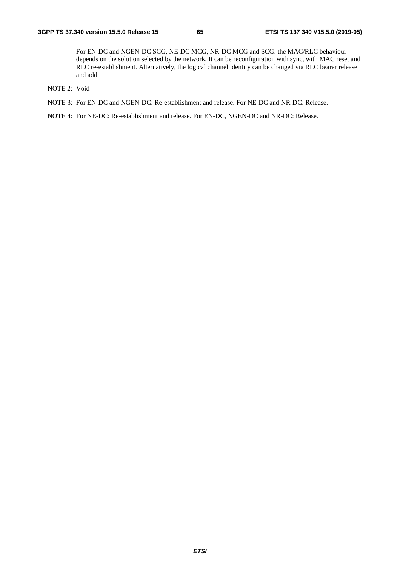For EN-DC and NGEN-DC SCG, NE-DC MCG, NR-DC MCG and SCG: the MAC/RLC behaviour depends on the solution selected by the network. It can be reconfiguration with sync, with MAC reset and RLC re-establishment. Alternatively, the logical channel identity can be changed via RLC bearer release and add.

- NOTE 2: Void
- NOTE 3: For EN-DC and NGEN-DC: Re-establishment and release. For NE-DC and NR-DC: Release.

NOTE 4: For NE-DC: Re-establishment and release. For EN-DC, NGEN-DC and NR-DC: Release.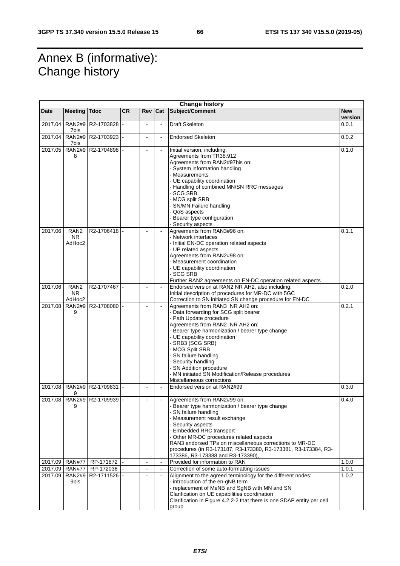# Annex B (informative): Change history

| <b>Change history</b> |                                         |                             |           |                |                                  |                                                                                                                                                                                                                                                                                                                                                                                                                                 |                       |
|-----------------------|-----------------------------------------|-----------------------------|-----------|----------------|----------------------------------|---------------------------------------------------------------------------------------------------------------------------------------------------------------------------------------------------------------------------------------------------------------------------------------------------------------------------------------------------------------------------------------------------------------------------------|-----------------------|
| Date                  | <b>Meeting Tdoc</b>                     |                             | <b>CR</b> | <b>Rev</b>     | Cat                              | Subject/Comment                                                                                                                                                                                                                                                                                                                                                                                                                 | <b>New</b><br>version |
| 2017.04               | <b>RAN2#9</b><br>7bis                   | R2-1703828 -                |           | $\blacksquare$ | ä,                               | <b>Draft Skeleton</b>                                                                                                                                                                                                                                                                                                                                                                                                           | 0.0.1                 |
| 2017.04               | <b>RAN2#9</b><br>7bis                   | R2-1703923 -                |           |                | $\blacksquare$                   | <b>Endorsed Skeleton</b>                                                                                                                                                                                                                                                                                                                                                                                                        | 0.0.2                 |
| 2017.05               | <b>RAN2#9</b><br>8                      | R2-1704898 -                |           |                |                                  | Initial version, including:<br>Agreements from TR38.912<br>Agreements from RAN2#97bis on:<br>- System information handling<br>- Measurements<br>- UE capability coordination<br>- Handling of combined MN/SN RRC messages<br>- SCG SRB<br>- MCG split SRB<br>- SN/MN Failure handling<br>- QoS aspects<br>- Bearer type configuration<br>- Security aspects                                                                     | 0.1.0                 |
| 2017.06               | RAN <sub>2</sub><br><b>NR</b><br>AdHoc2 | R2-1706418 -                |           |                |                                  | Agreements from RAN3#96 on:<br>- Network interfaces<br>- Initial EN-DC operation related aspects<br>- UP related aspects<br>Agreements from RAN2#98 on:<br>- Measurement coordination<br>- UE capability coordination<br>- SCG SRB<br>Further RAN2 agreements on EN-DC operation related aspects                                                                                                                                | 0.1.1                 |
| 2017.06               | RAN <sub>2</sub><br>NR.<br>AdHoc2       | R2-1707467 -                |           |                |                                  | Endorsed version at RAN2 NR AH2, also including:<br>Initial description of procedures for MR-DC with 5GC<br>Correction to SN initiated SN change procedure for EN-DC                                                                                                                                                                                                                                                            | 0.2.0                 |
| 2017.08               | <b>RAN2#9</b><br>9                      | R2-1708080 -                |           | $\blacksquare$ | $\mathbf{r}$                     | Agreements from RAN3 NR AH2 on:<br>- Data forwarding for SCG split bearer<br>- Path Update procedure<br>Agreements from RAN2 NR AH2 on:<br>- Bearer type harmonization / bearer type change<br>- UE capability coordination<br>- SRB3 (SCG SRB)<br>- MCG Split SRB<br>- SN failure handling<br>- Security handling<br>- SN Addition procedure<br>- MN initiated SN Modification/Release procedures<br>Miscellaneous corrections | 0.2.1                 |
| 2017.08               | <b>RAN2#9</b><br>9                      | R2-1709831                  |           |                |                                  | Endorsed version at RAN2#99                                                                                                                                                                                                                                                                                                                                                                                                     | 0.3.0                 |
|                       | 9                                       | 2017.08 RAN2#9 R2-1709939 - |           |                |                                  | Agreements from RAN2#99 on:<br>Bearer type harmonization / bearer type change<br>- SN failure handling<br>- Measurement result exchange<br>- Security aspects<br>- Embedded RRC transport<br>- Other MR-DC procedures related aspects<br>RAN3 endorsed TPs on miscellaneous corrections to MR-DC<br>procedures (in R3-173187, R3-173380, R3-173381, R3-173384, R3-<br>173386, R3-173388 and R3-173390),                         | 0.4.0                 |
| 2017.09               | <b>RAN#77</b>                           | RP-171872                   |           | $\blacksquare$ | $\Box$                           | Provided for information to RAN                                                                                                                                                                                                                                                                                                                                                                                                 | 1.0.0                 |
| 2017.09<br>2017.09    | <b>RAN#77</b><br><b>RAN2#9</b><br>9bis  | RP-172036<br>R2-1711526     |           |                | $\blacksquare$<br>$\blacksquare$ | Correction of some auto-formatting issues<br>Alignment to the agreed terminology for the different nodes:<br>- introduction of the en-gNB term<br>- replacement of MeNB and SgNB with MN and SN<br>Clarification on UE capabilities coordination<br>Clarification in Figure 4.2.2-2 that there is one SDAP entity per cell<br>group                                                                                             | 1.0.1<br>1.0.2        |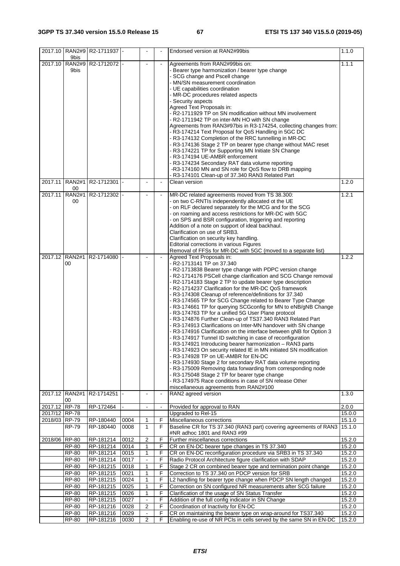|                                | 9bis                         | 2017.10 RAN2#9 R2-1711937 - |              |                   |                | Endorsed version at RAN2#99bis                                                                                                                                                                                                                                                                                                                                                                                                                                                                                                                                                                                                                                                                                                                                                                                                                                                                                                                                                                                                                                                                                                                                                                                                                                                                | 1.1.0            |
|--------------------------------|------------------------------|-----------------------------|--------------|-------------------|----------------|-----------------------------------------------------------------------------------------------------------------------------------------------------------------------------------------------------------------------------------------------------------------------------------------------------------------------------------------------------------------------------------------------------------------------------------------------------------------------------------------------------------------------------------------------------------------------------------------------------------------------------------------------------------------------------------------------------------------------------------------------------------------------------------------------------------------------------------------------------------------------------------------------------------------------------------------------------------------------------------------------------------------------------------------------------------------------------------------------------------------------------------------------------------------------------------------------------------------------------------------------------------------------------------------------|------------------|
| 2017.10                        | <b>RAN2#9</b><br>9bis        | R2-1712072 -                |              |                   |                | Agreements from RAN2#99bis on:<br>- Bearer type harmonization / bearer type change<br>- SCG change and Pscell change<br>- MN/SN measurement coordination<br>- UE capabilities coordination<br>- MR-DC procedures related aspects<br>- Security aspects<br>Agreed Text Proposals in:<br>- R2-1711929 TP on SN modification without MN involvement<br>- R2-1711942 TP on inter-MN HO with SN change<br>Agreements from RAN3#97bis in R3-174254, collecting changes from:<br>- R3-174214 Text Proposal for QoS Handling in 5GC DC<br>- R3-174132 Completion of the RRC tunnelling in MR-DC<br>- R3-174136 Stage 2 TP on bearer type change without MAC reset<br>- R3-174221 TP for Supporting MN Initiate SN Change<br>- R3-174194 UE-AMBR enforcement<br>- R3-174234 Secondary RAT data volume reporting<br>-R3-174160 MN and SN role for QoS flow to DRB mapping<br>- R3-174101 Clean-up of 37.340 RAN3 Related Part                                                                                                                                                                                                                                                                                                                                                                           | 1.1.1            |
| 2017.11                        | <b>RAN2#1</b><br>00          | R2-1712301                  |              | $\overline{a}$    | $\blacksquare$ | Clean version                                                                                                                                                                                                                                                                                                                                                                                                                                                                                                                                                                                                                                                                                                                                                                                                                                                                                                                                                                                                                                                                                                                                                                                                                                                                                 | 1.2.0            |
| 2017.11                        | <b>RAN2#1</b><br>00          | R2-1712302                  |              |                   |                | MR-DC related agreements moved from TS 38.300:<br>- on two C-RNTIs independently allocated ot the UE<br>- on RLF declared separately for the MCG and for the SCG<br>- on roaming and access restrictions for MR-DC with 5GC<br>- on SPS and BSR configuration, triggering and reporting<br>Addition of a note on support of ideal backhaul.<br>Clarification on use of SRB3.<br>Clarification on security key handling.<br>Editorial corrections in various Figures<br>Removal of FFSs for MR-DC with 5GC (moved to a separate list)                                                                                                                                                                                                                                                                                                                                                                                                                                                                                                                                                                                                                                                                                                                                                          | 1.2.1            |
| 2017.12                        | <b>RAN2#1</b><br>00          | R2-1714080                  |              |                   |                | Agreed Text Proposals in:<br>- R2-1713141 TP on 37.340<br>- R2-1713838 Bearer type change with PDPC version change<br>- R2-1714176 PSCell change clarification and SCG Change removal<br>- R2-1714183 Stage 2 TP to update bearer type description<br>- R2-1714237 Clarification for the MR-DC QoS framework<br>- R3-174308 Cleanup of reference/definitions for 37.340<br>- R3-174565 TP for SCG Change related to Bearer Type Change<br>- R3-174661 TP for querying SCGconfig for MN to eNB/gNB Change<br>- R3-174763 TP for a unified 5G User Plane protocol<br>R3-174876 Further Clean-up of TS37.340 RAN3 Related Part<br>R3-174913 Clarifications on Inter-MN handover with SN change<br>R3-174916 Clarification on the interface between gNB for Option 3<br>- R3-174917 Tunnel ID switching in case of reconfiguration<br>- R3-174921 Introducing bearer harmonization - RAN3 parts<br>- R3-174923 On security related IE in MN initiated SN modification<br>- R3-174928 TP on UE-AMBR for EN-DC<br>- R3-174930 Stage 2 for secondary RAT data volume reporting<br>- R3-175009 Removing data forwarding from corresponding node<br>- R3-175048 Stage 2 TP for bearer type change<br>- R3-174975 Race conditions in case of SN release Other<br>miscellaneous agreements from RAN2#100 | 1.2.2            |
|                                | 2017.12 RAN2#1<br>00         | R <sub>2</sub> -1714251     |              |                   | $\blacksquare$ | RAN2 agreed version                                                                                                                                                                                                                                                                                                                                                                                                                                                                                                                                                                                                                                                                                                                                                                                                                                                                                                                                                                                                                                                                                                                                                                                                                                                                           | 1.3.0            |
| 2017.12 RP-78<br>2017/12 RP-78 |                              | RP-172464                   |              | $\blacksquare$    | $\blacksquare$ | Provided for approval to RAN<br>Upgraded to Rel-15                                                                                                                                                                                                                                                                                                                                                                                                                                                                                                                                                                                                                                                                                                                                                                                                                                                                                                                                                                                                                                                                                                                                                                                                                                            | 2.0.0<br>15.0.0  |
| 2018/03 RP-79                  |                              | RP-180440                   | 0004         | $\mathbf{1}$      | F              | Miscellaneous corrections                                                                                                                                                                                                                                                                                                                                                                                                                                                                                                                                                                                                                                                                                                                                                                                                                                                                                                                                                                                                                                                                                                                                                                                                                                                                     | 15.1.0           |
|                                | $\overline{RP}$ -79          | RP-180440                   | 0008         | $\mathbf{1}$      | F.             | Baseline CR for TS 37.340 (RAN3 part) covering agreements of RAN3<br>#NR adhoc 1801 and RAN3 #99                                                                                                                                                                                                                                                                                                                                                                                                                                                                                                                                                                                                                                                                                                                                                                                                                                                                                                                                                                                                                                                                                                                                                                                              | 15.1.0           |
| 2018/06 RP-80                  |                              | RP-181214                   | 0012         | 2                 | F              | Further miscellaneus corrections                                                                                                                                                                                                                                                                                                                                                                                                                                                                                                                                                                                                                                                                                                                                                                                                                                                                                                                                                                                                                                                                                                                                                                                                                                                              | 15.2.0           |
|                                | <b>RP-80</b>                 | RP-181214                   | 0014         | 1                 | F              | CR on EN-DC bearer type changes in TS 37.340                                                                                                                                                                                                                                                                                                                                                                                                                                                                                                                                                                                                                                                                                                                                                                                                                                                                                                                                                                                                                                                                                                                                                                                                                                                  | 15.2.0           |
|                                | <b>RP-80</b>                 | RP-181214                   | 0015         | $\mathbf{1}$      | F              | CR on EN-DC reconfiguration procedure via SRB3 in TS 37.340                                                                                                                                                                                                                                                                                                                                                                                                                                                                                                                                                                                                                                                                                                                                                                                                                                                                                                                                                                                                                                                                                                                                                                                                                                   | 15.2.0           |
|                                | <b>RP-80</b>                 | RP-181214                   | 0017         | $\frac{1}{2}$     | F              | Radio Protocol Architecture figure clarification with SDAP                                                                                                                                                                                                                                                                                                                                                                                                                                                                                                                                                                                                                                                                                                                                                                                                                                                                                                                                                                                                                                                                                                                                                                                                                                    | 15.2.0           |
|                                | <b>RP-80</b><br><b>RP-80</b> | RP-181215<br>RP-181215      | 0018<br>0021 | 1<br>$\mathbf{1}$ | F<br>F         | Stage 2 CR on combined bearer type and termination point change<br>Correction to TS 37.340 on PDCP version for SRB                                                                                                                                                                                                                                                                                                                                                                                                                                                                                                                                                                                                                                                                                                                                                                                                                                                                                                                                                                                                                                                                                                                                                                            | 15.2.0<br>15.2.0 |
|                                | $\overline{RP}$ -80          | RP-181215                   | 0024         | 1                 | F              | L2 handling for bearer type change when PDCP SN length changed                                                                                                                                                                                                                                                                                                                                                                                                                                                                                                                                                                                                                                                                                                                                                                                                                                                                                                                                                                                                                                                                                                                                                                                                                                | 15.2.0           |
|                                | RP-80                        | RP-181215                   | 0025         | 1                 | F              | Correction on SN configured NR measurements after SCG failure                                                                                                                                                                                                                                                                                                                                                                                                                                                                                                                                                                                                                                                                                                                                                                                                                                                                                                                                                                                                                                                                                                                                                                                                                                 | 15.2.0           |
|                                | RP-80                        | RP-181215                   | 0026         | $\mathbf{1}$      | F              | Clarification of the usage of SN Status Transfer                                                                                                                                                                                                                                                                                                                                                                                                                                                                                                                                                                                                                                                                                                                                                                                                                                                                                                                                                                                                                                                                                                                                                                                                                                              | 15.2.0           |
|                                | RP-80                        | RP-181215                   | 0027         | $\blacksquare$    | F              | Addition of the full config indicator in SN Change                                                                                                                                                                                                                                                                                                                                                                                                                                                                                                                                                                                                                                                                                                                                                                                                                                                                                                                                                                                                                                                                                                                                                                                                                                            | 15.2.0           |
|                                | <b>RP-80</b>                 | RP-181216                   | 0028         | $\overline{2}$    | F              | Coordination of Inactivity for EN-DC                                                                                                                                                                                                                                                                                                                                                                                                                                                                                                                                                                                                                                                                                                                                                                                                                                                                                                                                                                                                                                                                                                                                                                                                                                                          | 15.2.0           |
|                                | <b>RP-80</b>                 | RP-181216                   | 0029         | $\blacksquare$    | F              | CR on maintaining the bearer type on wrap-around for TS37.340                                                                                                                                                                                                                                                                                                                                                                                                                                                                                                                                                                                                                                                                                                                                                                                                                                                                                                                                                                                                                                                                                                                                                                                                                                 | 15.2.0           |
|                                | RP-80                        | RP-181216                   | 0030         | $\overline{2}$    | F              | Enabling re-use of NR PCIs in cells served by the same SN in EN-DC                                                                                                                                                                                                                                                                                                                                                                                                                                                                                                                                                                                                                                                                                                                                                                                                                                                                                                                                                                                                                                                                                                                                                                                                                            | 15.2.0           |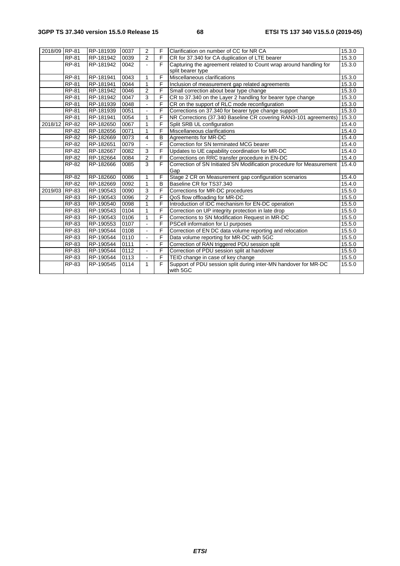| 2018/09 RP-81 |                     | RP-181939 | 0037 | $\overline{2}$ | F              | Clarification on number of CC for NR CA                                     | 15.3.0 |
|---------------|---------------------|-----------|------|----------------|----------------|-----------------------------------------------------------------------------|--------|
|               | RP-81               | RP-181942 | 0039 | $\overline{2}$ | F              | CR for 37.340 for CA duplication of LTE bearer                              | 15.3.0 |
|               | <b>RP-81</b>        | RP-181942 | 0042 |                | F              | Capturing the agreement related to Count wrap around handling for           | 15.3.0 |
|               |                     |           |      |                |                | split bearer type                                                           |        |
|               | <b>RP-81</b>        | RP-181941 | 0043 | 1              | F              | Miscellaneous clarifications                                                | 15.3.0 |
|               | <b>RP-81</b>        | RP-181941 | 0044 | 1              | F              | Inclusion of measurement gap related agreements                             | 15.3.0 |
|               | <b>RP-81</b>        | RP-181942 | 0046 | 2              | $\overline{F}$ | Small correction about bear type change                                     | 15.3.0 |
|               | <b>RP-81</b>        | RP-181942 | 0047 | 3              | F              | CR to 37.340 on the Layer 2 handling for bearer type change                 | 15.3.0 |
|               | <b>RP-81</b>        | RP-181939 | 0048 |                | F              | CR on the support of RLC mode reconfiguration                               | 15.3.0 |
|               | <b>RP-81</b>        | RP-181939 | 0051 |                | F              | Corrections on 37.340 for bearer type change support                        | 15.3.0 |
|               | RP-81               | RP-181941 | 0054 | 1              | F              | NR Corrections (37.340 Baseline CR covering RAN3-101 agreements)            | 15.3.0 |
| 2018/12 RP-82 |                     | RP-182650 | 0067 | 1              | F              | Split SRB UL configuration                                                  | 15.4.0 |
|               | RP-82               | RP-182656 | 0071 | 1              | F              | Miscellaneous clarifications                                                | 15.4.0 |
|               | RP-82               | RP-182669 | 0073 | 4              | B              | Agreements for MR-DC                                                        | 15.4.0 |
|               | RP-82               | RP-182651 | 0079 |                | F              | Correction for SN terminated MCG bearer                                     | 15.4.0 |
|               | RP-82               | RP-182667 | 0082 | 3              | F              | Updates to UE capability coordination for MR-DC                             | 15.4.0 |
|               | RP-82               | RP-182664 | 0084 | $\overline{2}$ | F              | Corrections on RRC transfer procedure in EN-DC                              | 15.4.0 |
|               | RP-82               | RP-182666 | 0085 | 3              | F              | Correction of SN Initiated SN Modification procedure for Measurement        | 15.4.0 |
|               |                     |           |      |                |                | Gap                                                                         |        |
|               | RP-82               | RP-182660 | 0086 | 1              | F              | Stage 2 CR on Measurement gap configuration scenarios                       | 15.4.0 |
|               | RP-82               | RP-182669 | 0092 | 1              | B              | Baseline CR for TS37.340                                                    | 15.4.0 |
| 2019/03 RP-83 |                     | RP-190543 | 0090 | 3              | $\mathsf{F}$   | Corrections for MR-DC procedures                                            | 15.5.0 |
|               | RP-83               | RP-190543 | 0096 | $\overline{2}$ | F              | QoS flow offloading for MR-DC                                               | 15.5.0 |
|               | RP-83               | RP-190540 | 0098 | 1              | F              | Introduction of IDC mechanism for EN-DC operation                           | 15.5.0 |
|               | $\overline{RP}$ -83 | RP-190543 | 0104 | 1              | F              | Correction on UP integrity protection in late drop                          | 15.5.0 |
|               | RP-83               | RP-190543 | 0106 | 1              | F              | Corrections to SN Modification Request in MR-DC                             | 15.5.0 |
|               | RP-83               | RP-190553 | 0107 | $\blacksquare$ | F              | PSCell information for LI purposes                                          | 15.5.0 |
|               | <b>RP-83</b>        | RP-190544 | 0108 | $\blacksquare$ | $\overline{F}$ | Correction of EN DC data volume reporting and relocation                    | 15.5.0 |
|               | RP-83               | RP-190544 | 0110 | $\blacksquare$ | F              | Data volume reporting for MR-DC with 5GC                                    | 15.5.0 |
|               | RP-83               | RP-190544 | 0111 |                | F              | Correction of RAN triggered PDU session split                               | 15.5.0 |
|               | RP-83               | RP-190544 | 0112 |                | $\mathsf{F}$   | Correction of PDU session split at handover                                 | 15.5.0 |
|               | RP-83               | RP-190544 | 0113 | $\sim$         | $\overline{F}$ | TEID change in case of key change                                           | 15.5.0 |
|               | RP-83               | RP-190545 | 0114 | 1              | F              | Support of PDU session split during inter-MN handover for MR-DC<br>with 5GC | 15.5.0 |